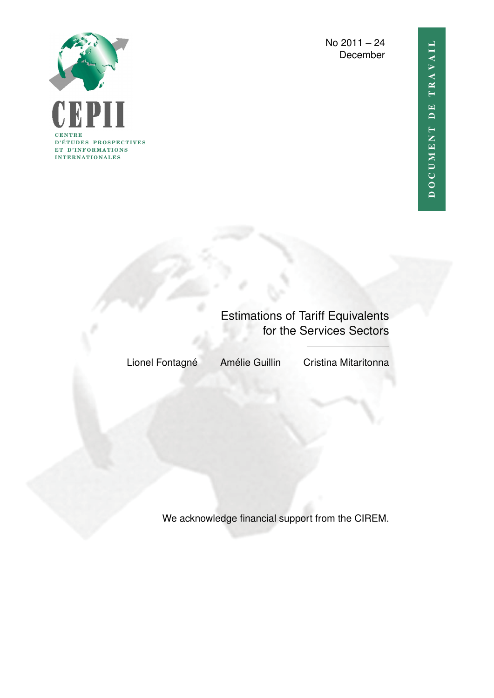

No 2011 – 24 December

# Estimations of Tariff Equivalents for the Services Sectors

Lionel Fontagné Amélie Guillin Cristina Mitaritonna

We acknowledge financial support from the CIREM.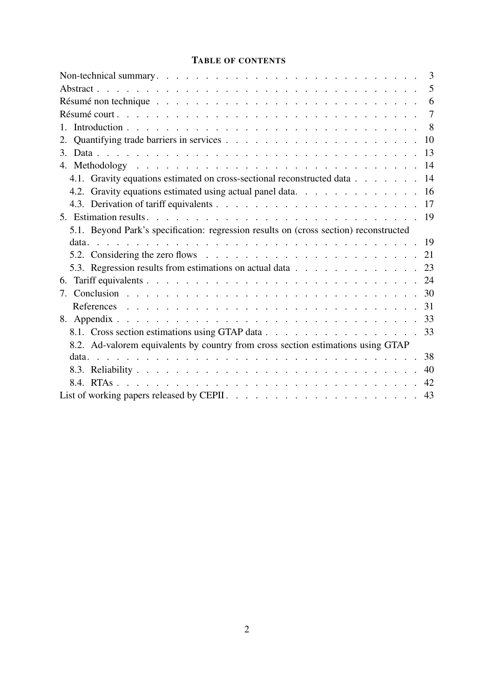### TABLE OF CONTENTS

|                                                                                                                                                                                                                                | 3              |
|--------------------------------------------------------------------------------------------------------------------------------------------------------------------------------------------------------------------------------|----------------|
|                                                                                                                                                                                                                                | 5              |
| Résumé non technique reconnuelle reconnuelle reconnuelle reconnuelle reconnuelle reconnuelle reconnuelle reconnuelle reconnuelle reconnuelle reconnuelle reconnuelle reconnuelle reconnuelle reconnuelle reconnuelle reconnuel | - 6            |
|                                                                                                                                                                                                                                | $\overline{7}$ |
| 1                                                                                                                                                                                                                              | 8 <sup>8</sup> |
|                                                                                                                                                                                                                                |                |
|                                                                                                                                                                                                                                |                |
|                                                                                                                                                                                                                                |                |
| 4.1. Gravity equations estimated on cross-sectional reconstructed data 14                                                                                                                                                      |                |
|                                                                                                                                                                                                                                |                |
|                                                                                                                                                                                                                                |                |
|                                                                                                                                                                                                                                |                |
| 5.1. Beyond Park's specification: regression results on (cross section) reconstructed                                                                                                                                          |                |
|                                                                                                                                                                                                                                |                |
|                                                                                                                                                                                                                                |                |
| 5.3. Regression results from estimations on actual data 23                                                                                                                                                                     |                |
| 6.                                                                                                                                                                                                                             |                |
| 7.                                                                                                                                                                                                                             |                |
|                                                                                                                                                                                                                                |                |
|                                                                                                                                                                                                                                |                |
|                                                                                                                                                                                                                                |                |
| 8.1. Cross section estimations using GTAP data                                                                                                                                                                                 | 33             |
| 8.2. Ad-valorem equivalents by country from cross section estimations using GTAP                                                                                                                                               |                |
|                                                                                                                                                                                                                                | 38             |
|                                                                                                                                                                                                                                | 40             |
|                                                                                                                                                                                                                                | 42             |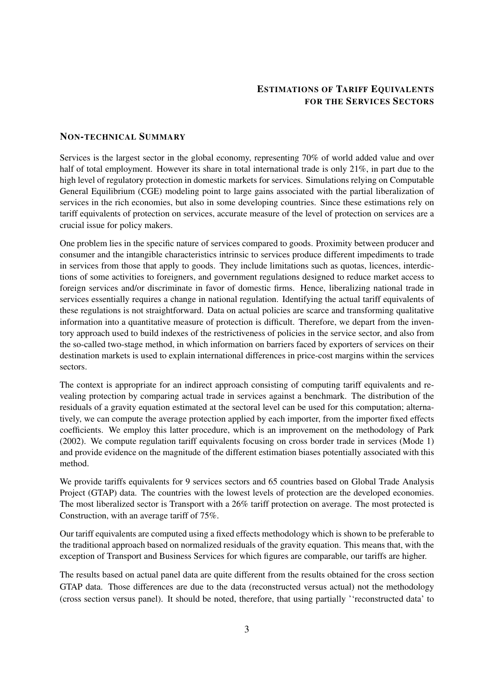#### ESTIMATIONS OF TARIFF EQUIVALENTS FOR THE SERVICES SECTORS

#### <span id="page-2-0"></span>NON-TECHNICAL SUMMARY

Services is the largest sector in the global economy, representing 70% of world added value and over half of total employment. However its share in total international trade is only 21%, in part due to the high level of regulatory protection in domestic markets for services. Simulations relying on Computable General Equilibrium (CGE) modeling point to large gains associated with the partial liberalization of services in the rich economies, but also in some developing countries. Since these estimations rely on tariff equivalents of protection on services, accurate measure of the level of protection on services are a crucial issue for policy makers.

One problem lies in the specific nature of services compared to goods. Proximity between producer and consumer and the intangible characteristics intrinsic to services produce different impediments to trade in services from those that apply to goods. They include limitations such as quotas, licences, interdictions of some activities to foreigners, and government regulations designed to reduce market access to foreign services and/or discriminate in favor of domestic firms. Hence, liberalizing national trade in services essentially requires a change in national regulation. Identifying the actual tariff equivalents of these regulations is not straightforward. Data on actual policies are scarce and transforming qualitative information into a quantitative measure of protection is difficult. Therefore, we depart from the inventory approach used to build indexes of the restrictiveness of policies in the service sector, and also from the so-called two-stage method, in which information on barriers faced by exporters of services on their destination markets is used to explain international differences in price-cost margins within the services sectors.

The context is appropriate for an indirect approach consisting of computing tariff equivalents and revealing protection by comparing actual trade in services against a benchmark. The distribution of the residuals of a gravity equation estimated at the sectoral level can be used for this computation; alternatively, we can compute the average protection applied by each importer, from the importer fixed effects coefficients. We employ this latter procedure, which is an improvement on the methodology of [Park](#page-31-0) [\(2002\)](#page-31-0). We compute regulation tariff equivalents focusing on cross border trade in services (Mode 1) and provide evidence on the magnitude of the different estimation biases potentially associated with this method.

We provide tariffs equivalents for 9 services sectors and 65 countries based on Global Trade Analysis Project (GTAP) data. The countries with the lowest levels of protection are the developed economies. The most liberalized sector is Transport with a 26% tariff protection on average. The most protected is Construction, with an average tariff of 75%.

Our tariff equivalents are computed using a fixed effects methodology which is shown to be preferable to the traditional approach based on normalized residuals of the gravity equation. This means that, with the exception of Transport and Business Services for which figures are comparable, our tariffs are higher.

The results based on actual panel data are quite different from the results obtained for the cross section GTAP data. Those differences are due to the data (reconstructed versus actual) not the methodology (cross section versus panel). It should be noted, therefore, that using partially ''reconstructed data' to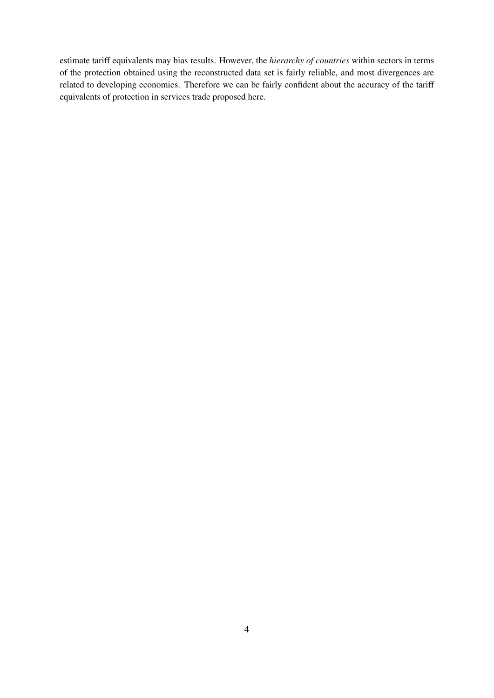estimate tariff equivalents may bias results. However, the *hierarchy of countries* within sectors in terms of the protection obtained using the reconstructed data set is fairly reliable, and most divergences are related to developing economies. Therefore we can be fairly confident about the accuracy of the tariff equivalents of protection in services trade proposed here.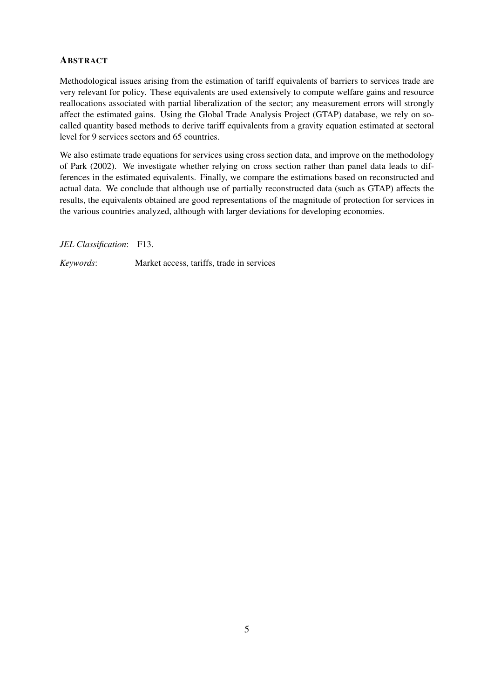#### <span id="page-4-0"></span>**ABSTRACT**

Methodological issues arising from the estimation of tariff equivalents of barriers to services trade are very relevant for policy. These equivalents are used extensively to compute welfare gains and resource reallocations associated with partial liberalization of the sector; any measurement errors will strongly affect the estimated gains. Using the Global Trade Analysis Project (GTAP) database, we rely on socalled quantity based methods to derive tariff equivalents from a gravity equation estimated at sectoral level for 9 services sectors and 65 countries.

We also estimate trade equations for services using cross section data, and improve on the methodology of [Park](#page-31-0) [\(2002\)](#page-31-0). We investigate whether relying on cross section rather than panel data leads to differences in the estimated equivalents. Finally, we compare the estimations based on reconstructed and actual data. We conclude that although use of partially reconstructed data (such as GTAP) affects the results, the equivalents obtained are good representations of the magnitude of protection for services in the various countries analyzed, although with larger deviations for developing economies.

*JEL Classification*: F13.

*Keywords*: Market access, tariffs, trade in services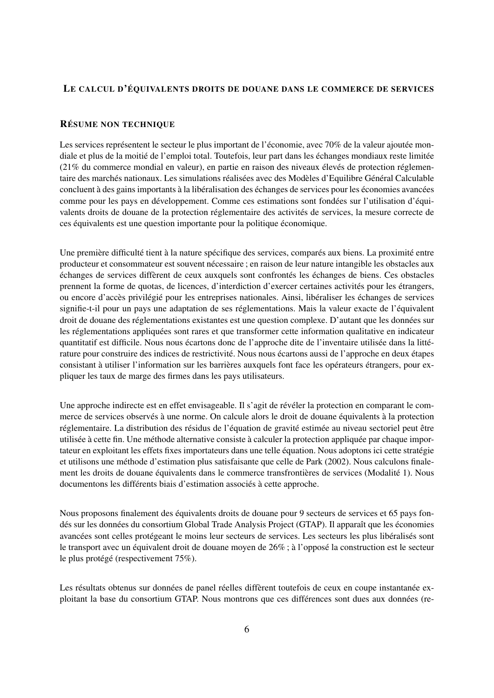#### <span id="page-5-0"></span>LE CALCUL D'ÉQUIVALENTS DROITS DE DOUANE DANS LE COMMERCE DE SERVICES

#### RÉSUME NON TECHNIQUE

Les services représentent le secteur le plus important de l'économie, avec 70% de la valeur ajoutée mondiale et plus de la moitié de l'emploi total. Toutefois, leur part dans les échanges mondiaux reste limitée (21% du commerce mondial en valeur), en partie en raison des niveaux élevés de protection réglementaire des marchés nationaux. Les simulations réalisées avec des Modèles d'Equilibre Général Calculable concluent à des gains importants à la libéralisation des échanges de services pour les économies avancées comme pour les pays en développement. Comme ces estimations sont fondées sur l'utilisation d'équivalents droits de douane de la protection réglementaire des activités de services, la mesure correcte de ces équivalents est une question importante pour la politique économique.

Une première difficulté tient à la nature spécifique des services, comparés aux biens. La proximité entre producteur et consommateur est souvent nécessaire ; en raison de leur nature intangible les obstacles aux échanges de services diffèrent de ceux auxquels sont confrontés les échanges de biens. Ces obstacles prennent la forme de quotas, de licences, d'interdiction d'exercer certaines activités pour les étrangers, ou encore d'accès privilégié pour les entreprises nationales. Ainsi, libéraliser les échanges de services signifie-t-il pour un pays une adaptation de ses réglementations. Mais la valeur exacte de l'équivalent droit de douane des réglementations existantes est une question complexe. D'autant que les données sur les réglementations appliquées sont rares et que transformer cette information qualitative en indicateur quantitatif est difficile. Nous nous écartons donc de l'approche dite de l'inventaire utilisée dans la littérature pour construire des indices de restrictivité. Nous nous écartons aussi de l'approche en deux étapes consistant à utiliser l'information sur les barrières auxquels font face les opérateurs étrangers, pour expliquer les taux de marge des firmes dans les pays utilisateurs.

Une approche indirecte est en effet envisageable. Il s'agit de révéler la protection en comparant le commerce de services observés à une norme. On calcule alors le droit de douane équivalents à la protection réglementaire. La distribution des résidus de l'équation de gravité estimée au niveau sectoriel peut être utilisée à cette fin. Une méthode alternative consiste à calculer la protection appliquée par chaque importateur en exploitant les effets fixes importateurs dans une telle équation. Nous adoptons ici cette stratégie et utilisons une méthode d'estimation plus satisfaisante que celle de [Park](#page-31-0) [\(2002\)](#page-31-0). Nous calculons finalement les droits de douane équivalents dans le commerce transfrontières de services (Modalité 1). Nous documentons les différents biais d'estimation associés à cette approche.

Nous proposons finalement des équivalents droits de douane pour 9 secteurs de services et 65 pays fondés sur les données du consortium Global Trade Analysis Project (GTAP). Il apparaît que les économies avancées sont celles protégeant le moins leur secteurs de services. Les secteurs les plus libéralisés sont le transport avec un équivalent droit de douane moyen de 26% ; à l'opposé la construction est le secteur le plus protégé (respectivement 75%).

Les résultats obtenus sur données de panel réelles diffèrent toutefois de ceux en coupe instantanée exploitant la base du consortium GTAP. Nous montrons que ces différences sont dues aux données (re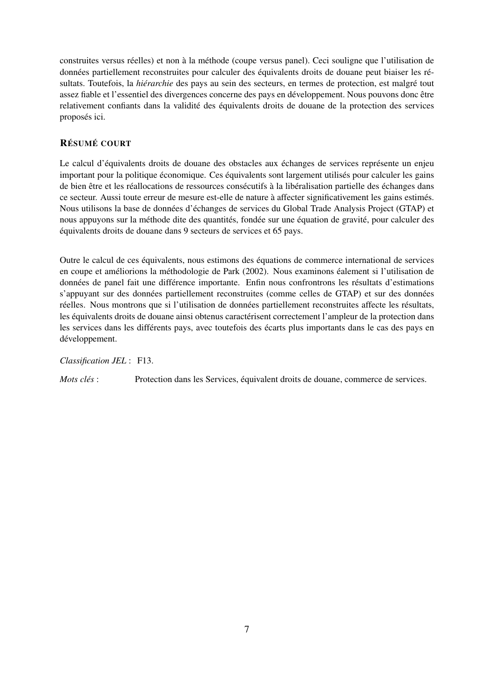construites versus réelles) et non à la méthode (coupe versus panel). Ceci souligne que l'utilisation de données partiellement reconstruites pour calculer des équivalents droits de douane peut biaiser les résultats. Toutefois, la *hiérarchie* des pays au sein des secteurs, en termes de protection, est malgré tout assez fiable et l'essentiel des divergences concerne des pays en développement. Nous pouvons donc être relativement confiants dans la validité des équivalents droits de douane de la protection des services proposés ici.

#### <span id="page-6-0"></span>RÉSUMÉ COURT

Le calcul d'équivalents droits de douane des obstacles aux échanges de services représente un enjeu important pour la politique économique. Ces équivalents sont largement utilisés pour calculer les gains de bien être et les réallocations de ressources consécutifs à la libéralisation partielle des échanges dans ce secteur. Aussi toute erreur de mesure est-elle de nature à affecter significativement les gains estimés. Nous utilisons la base de données d'échanges de services du Global Trade Analysis Project (GTAP) et nous appuyons sur la méthode dite des quantités, fondée sur une équation de gravité, pour calculer des équivalents droits de douane dans 9 secteurs de services et 65 pays.

Outre le calcul de ces équivalents, nous estimons des équations de commerce international de services en coupe et améliorions la méthodologie de [Park](#page-31-0) [\(2002\)](#page-31-0). Nous examinons éalement si l'utilisation de données de panel fait une différence importante. Enfin nous confrontrons les résultats d'estimations s'appuyant sur des données partiellement reconstruites (comme celles de GTAP) et sur des données réelles. Nous montrons que si l'utilisation de données partiellement reconstruites affecte les résultats, les équivalents droits de douane ainsi obtenus caractérisent correctement l'ampleur de la protection dans les services dans les différents pays, avec toutefois des écarts plus importants dans le cas des pays en développement.

#### *Classification JEL* : F13.

*Mots clés* : Protection dans les Services, équivalent droits de douane, commerce de services.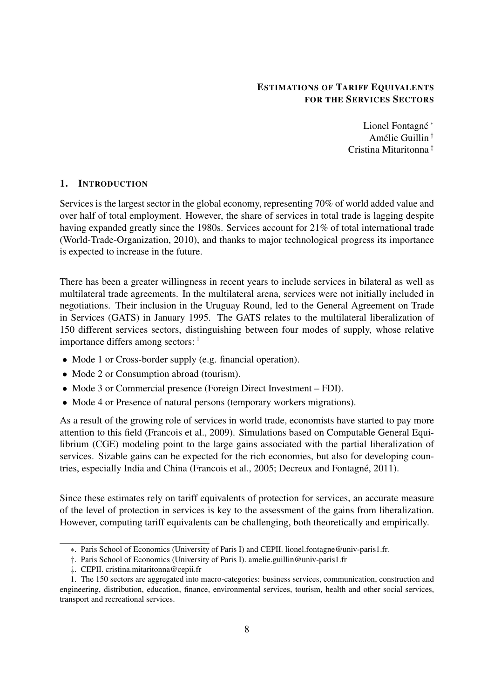#### ESTIMATIONS OF TARIFF EQUIVALENTS FOR THE SERVICES SECTORS

Lionel Fontagné [∗](#page-7-1) Amélie Guillin [†](#page-7-2) Cristina Mitaritonna [‡](#page-7-3)

#### <span id="page-7-0"></span>1. INTRODUCTION

Services is the largest sector in the global economy, representing 70% of world added value and over half of total employment. However, the share of services in total trade is lagging despite having expanded greatly since the 1980s. Services account for 21% of total international trade [\(World-Trade-Organization,](#page-31-1) [2010\)](#page-31-1), and thanks to major technological progress its importance is expected to increase in the future.

There has been a greater willingness in recent years to include services in bilateral as well as multilateral trade agreements. In the multilateral arena, services were not initially included in negotiations. Their inclusion in the Uruguay Round, led to the General Agreement on Trade in Services (GATS) in January 1995. The GATS relates to the multilateral liberalization of 150 different services sectors, distinguishing between four modes of supply, whose relative importance differs among sectors:  $<sup>1</sup>$  $<sup>1</sup>$  $<sup>1</sup>$ </sup>

- Mode 1 or Cross-border supply (e.g. financial operation).
- Mode 2 or Consumption abroad (tourism).
- Mode 3 or Commercial presence (Foreign Direct Investment FDI).
- Mode 4 or Presence of natural persons (temporary workers migrations).

As a result of the growing role of services in world trade, economists have started to pay more attention to this field [\(Francois et al.,](#page-30-1) [2009\)](#page-30-1). Simulations based on Computable General Equilibrium (CGE) modeling point to the large gains associated with the partial liberalization of services. Sizable gains can be expected for the rich economies, but also for developing countries, especially India and China [\(Francois et al.,](#page-30-2) [2005;](#page-30-2) [Decreux and Fontagné,](#page-30-3) [2011\)](#page-30-3).

Since these estimates rely on tariff equivalents of protection for services, an accurate measure of the level of protection in services is key to the assessment of the gains from liberalization. However, computing tariff equivalents can be challenging, both theoretically and empirically.

<span id="page-7-1"></span><sup>∗</sup>. Paris School of Economics (University of Paris I) and CEPII. lionel.fontagne@univ-paris1.fr.

<span id="page-7-2"></span><sup>†</sup>. Paris School of Economics (University of Paris I). amelie.guillin@univ-paris1.fr

<span id="page-7-4"></span><span id="page-7-3"></span><sup>‡</sup>. CEPII. cristina.mitaritonna@cepii.fr

<sup>1.</sup> The 150 sectors are aggregated into macro-categories: business services, communication, construction and engineering, distribution, education, finance, environmental services, tourism, health and other social services, transport and recreational services.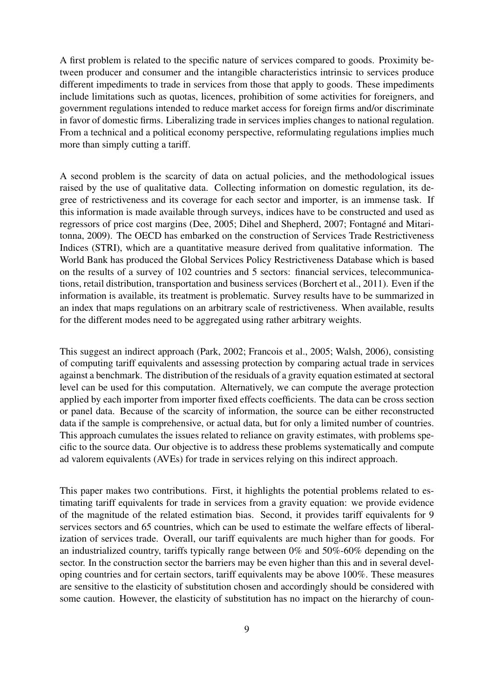A first problem is related to the specific nature of services compared to goods. Proximity between producer and consumer and the intangible characteristics intrinsic to services produce different impediments to trade in services from those that apply to goods. These impediments include limitations such as quotas, licences, prohibition of some activities for foreigners, and government regulations intended to reduce market access for foreign firms and/or discriminate in favor of domestic firms. Liberalizing trade in services implies changes to national regulation. From a technical and a political economy perspective, reformulating regulations implies much more than simply cutting a tariff.

A second problem is the scarcity of data on actual policies, and the methodological issues raised by the use of qualitative data. Collecting information on domestic regulation, its degree of restrictiveness and its coverage for each sector and importer, is an immense task. If this information is made available through surveys, indices have to be constructed and used as regressors of price cost margins [\(Dee,](#page-30-4) [2005;](#page-30-4) [Dihel and Shepherd,](#page-30-5) [2007;](#page-30-5) [Fontagné and Mitari](#page-30-6)[tonna,](#page-30-6) [2009\)](#page-30-6). The OECD has embarked on the construction of Services Trade Restrictiveness Indices (STRI), which are a quantitative measure derived from qualitative information. The World Bank has produced the Global Services Policy Restrictiveness Database which is based on the results of a survey of 102 countries and 5 sectors: financial services, telecommunications, retail distribution, transportation and business services [\(Borchert et al.,](#page-30-7) [2011\)](#page-30-7). Even if the information is available, its treatment is problematic. Survey results have to be summarized in an index that maps regulations on an arbitrary scale of restrictiveness. When available, results for the different modes need to be aggregated using rather arbitrary weights.

This suggest an indirect approach [\(Park,](#page-31-0) [2002;](#page-31-0) [Francois et al.,](#page-30-2) [2005;](#page-30-2) [Walsh,](#page-31-2) [2006\)](#page-31-2), consisting of computing tariff equivalents and assessing protection by comparing actual trade in services against a benchmark. The distribution of the residuals of a gravity equation estimated at sectoral level can be used for this computation. Alternatively, we can compute the average protection applied by each importer from importer fixed effects coefficients. The data can be cross section or panel data. Because of the scarcity of information, the source can be either reconstructed data if the sample is comprehensive, or actual data, but for only a limited number of countries. This approach cumulates the issues related to reliance on gravity estimates, with problems specific to the source data. Our objective is to address these problems systematically and compute ad valorem equivalents (AVEs) for trade in services relying on this indirect approach.

This paper makes two contributions. First, it highlights the potential problems related to estimating tariff equivalents for trade in services from a gravity equation: we provide evidence of the magnitude of the related estimation bias. Second, it provides tariff equivalents for 9 services sectors and 65 countries, which can be used to estimate the welfare effects of liberalization of services trade. Overall, our tariff equivalents are much higher than for goods. For an industrialized country, tariffs typically range between 0% and 50%-60% depending on the sector. In the construction sector the barriers may be even higher than this and in several developing countries and for certain sectors, tariff equivalents may be above 100%. These measures are sensitive to the elasticity of substitution chosen and accordingly should be considered with some caution. However, the elasticity of substitution has no impact on the hierarchy of coun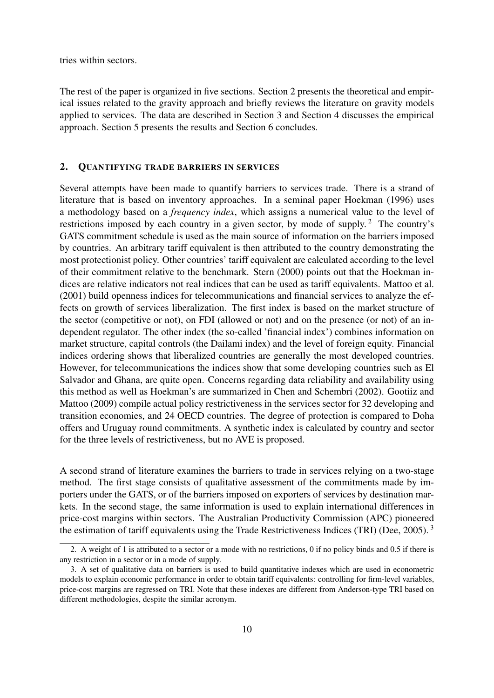tries within sectors.

The rest of the paper is organized in five sections. Section 2 presents the theoretical and empirical issues related to the gravity approach and briefly reviews the literature on gravity models applied to services. The data are described in Section 3 and Section 4 discusses the empirical approach. Section 5 presents the results and Section 6 concludes.

#### <span id="page-9-0"></span>2. QUANTIFYING TRADE BARRIERS IN SERVICES

Several attempts have been made to quantify barriers to services trade. There is a strand of literature that is based on inventory approaches. In a seminal paper [Hoekman](#page-31-3) [\(1996\)](#page-31-3) uses a methodology based on a *frequency index*, which assigns a numerical value to the level of restrictions imposed by each country in a given sector, by mode of supply.<sup>[2](#page-9-1)</sup> The country's GATS commitment schedule is used as the main source of information on the barriers imposed by countries. An arbitrary tariff equivalent is then attributed to the country demonstrating the most protectionist policy. Other countries' tariff equivalent are calculated according to the level of their commitment relative to the benchmark. [Stern](#page-31-4) [\(2000\)](#page-31-4) points out that the Hoekman indices are relative indicators not real indices that can be used as tariff equivalents. [Mattoo et al.](#page-31-5) [\(2001\)](#page-31-5) build openness indices for telecommunications and financial services to analyze the effects on growth of services liberalization. The first index is based on the market structure of the sector (competitive or not), on FDI (allowed or not) and on the presence (or not) of an independent regulator. The other index (the so-called 'financial index') combines information on market structure, capital controls (the Dailami index) and the level of foreign equity. Financial indices ordering shows that liberalized countries are generally the most developed countries. However, for telecommunications the indices show that some developing countries such as El Salvador and Ghana, are quite open. Concerns regarding data reliability and availability using this method as well as Hoekman's are summarized in [Chen and Schembri](#page-30-8) [\(2002\)](#page-30-8). [Gootiiz and](#page-30-9) [Mattoo](#page-30-9) [\(2009\)](#page-30-9) compile actual policy restrictiveness in the services sector for 32 developing and transition economies, and 24 OECD countries. The degree of protection is compared to Doha offers and Uruguay round commitments. A synthetic index is calculated by country and sector for the three levels of restrictiveness, but no AVE is proposed.

A second strand of literature examines the barriers to trade in services relying on a two-stage method. The first stage consists of qualitative assessment of the commitments made by importers under the GATS, or of the barriers imposed on exporters of services by destination markets. In the second stage, the same information is used to explain international differences in price-cost margins within sectors. The Australian Productivity Commission (APC) pioneered the estimation of tariff equivalents using the Trade Restrictiveness Indices (TRI) [\(Dee,](#page-30-4) [2005\)](#page-30-4).<sup>[3](#page-9-2)</sup>

<span id="page-9-1"></span><sup>2.</sup> A weight of 1 is attributed to a sector or a mode with no restrictions, 0 if no policy binds and 0.5 if there is any restriction in a sector or in a mode of supply.

<span id="page-9-2"></span><sup>3.</sup> A set of qualitative data on barriers is used to build quantitative indexes which are used in econometric models to explain economic performance in order to obtain tariff equivalents: controlling for firm-level variables, price-cost margins are regressed on TRI. Note that these indexes are different from Anderson-type TRI based on different methodologies, despite the similar acronym.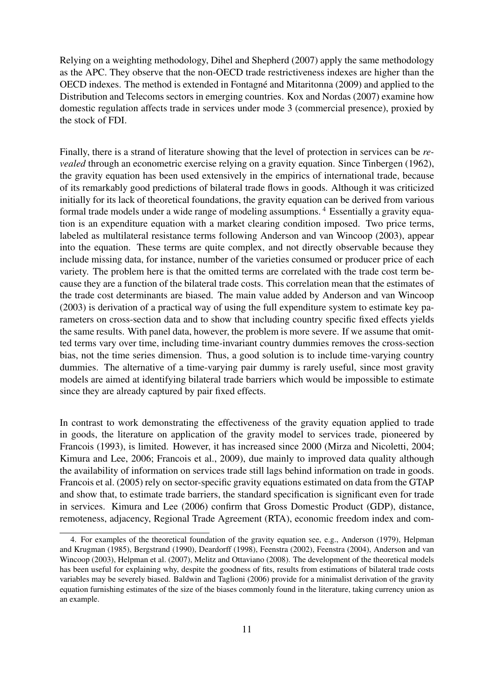Relying on a weighting methodology, [Dihel and Shepherd](#page-30-5) [\(2007\)](#page-30-5) apply the same methodology as the APC. They observe that the non-OECD trade restrictiveness indexes are higher than the OECD indexes. The method is extended in [Fontagné and Mitaritonna](#page-30-6) [\(2009\)](#page-30-6) and applied to the Distribution and Telecoms sectors in emerging countries. [Kox and Nordas](#page-31-6) [\(2007\)](#page-31-6) examine how domestic regulation affects trade in services under mode 3 (commercial presence), proxied by the stock of FDI.

Finally, there is a strand of literature showing that the level of protection in services can be *revealed* through an econometric exercise relying on a gravity equation. Since Tinbergen (1962), the gravity equation has been used extensively in the empirics of international trade, because of its remarkably good predictions of bilateral trade flows in goods. Although it was criticized initially for its lack of theoretical foundations, the gravity equation can be derived from various formal trade models under a wide range of modeling assumptions. [4](#page-10-0) Essentially a gravity equation is an expenditure equation with a market clearing condition imposed. Two price terms, labeled as multilateral resistance terms following [Anderson and van Wincoop](#page-30-10) [\(2003\)](#page-30-10), appear into the equation. These terms are quite complex, and not directly observable because they include missing data, for instance, number of the varieties consumed or producer price of each variety. The problem here is that the omitted terms are correlated with the trade cost term because they are a function of the bilateral trade costs. This correlation mean that the estimates of the trade cost determinants are biased. The main value added by [Anderson and van Wincoop](#page-30-10) [\(2003\)](#page-30-10) is derivation of a practical way of using the full expenditure system to estimate key parameters on cross-section data and to show that including country specific fixed effects yields the same results. With panel data, however, the problem is more severe. If we assume that omitted terms vary over time, including time-invariant country dummies removes the cross-section bias, not the time series dimension. Thus, a good solution is to include time-varying country dummies. The alternative of a time-varying pair dummy is rarely useful, since most gravity models are aimed at identifying bilateral trade barriers which would be impossible to estimate since they are already captured by pair fixed effects.

In contrast to work demonstrating the effectiveness of the gravity equation applied to trade in goods, the literature on application of the gravity model to services trade, pioneered by [Francois](#page-30-11) [\(1993\)](#page-30-11), is limited. However, it has increased since 2000 [\(Mirza and Nicoletti,](#page-31-7) [2004;](#page-31-7) [Kimura and Lee,](#page-31-8) [2006;](#page-31-8) [Francois et al.,](#page-30-1) [2009\)](#page-30-1), due mainly to improved data quality although the availability of information on services trade still lags behind information on trade in goods. [Francois et al.](#page-30-2) [\(2005\)](#page-30-2) rely on sector-specific gravity equations estimated on data from the GTAP and show that, to estimate trade barriers, the standard specification is significant even for trade in services. [Kimura and Lee](#page-31-8) [\(2006\)](#page-31-8) confirm that Gross Domestic Product (GDP), distance, remoteness, adjacency, Regional Trade Agreement (RTA), economic freedom index and com-

<span id="page-10-0"></span><sup>4.</sup> For examples of the theoretical foundation of the gravity equation see, e.g., [Anderson](#page-30-12) [\(1979\)](#page-30-12), [Helpman](#page-30-13) [and Krugman](#page-30-13) [\(1985\)](#page-30-13), [Bergstrand](#page-30-14) [\(1990\)](#page-30-14), [Deardorff](#page-30-15) [\(1998\)](#page-30-15), [Feenstra](#page-30-16) [\(2002\)](#page-30-16), [Feenstra](#page-30-17) [\(2004\)](#page-30-17), [Anderson and van](#page-30-10) [Wincoop](#page-30-10) [\(2003\)](#page-30-10), [Helpman et al.](#page-31-9) [\(2007\)](#page-31-9), [Melitz and Ottaviano](#page-31-10) [\(2008\)](#page-31-10). The development of the theoretical models has been useful for explaining why, despite the goodness of fits, results from estimations of bilateral trade costs variables may be severely biased. [Baldwin and Taglioni](#page-30-18) [\(2006\)](#page-30-18) provide for a minimalist derivation of the gravity equation furnishing estimates of the size of the biases commonly found in the literature, taking currency union as an example.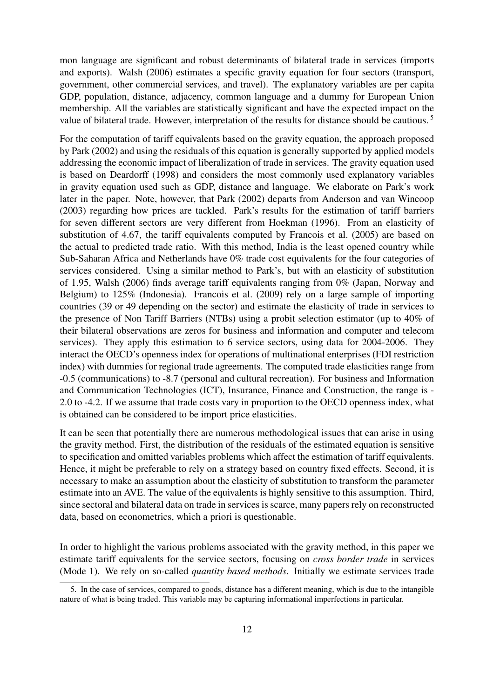mon language are significant and robust determinants of bilateral trade in services (imports and exports). [Walsh](#page-31-2) [\(2006\)](#page-31-2) estimates a specific gravity equation for four sectors (transport, government, other commercial services, and travel). The explanatory variables are per capita GDP, population, distance, adjacency, common language and a dummy for European Union membership. All the variables are statistically significant and have the expected impact on the value of bilateral trade. However, interpretation of the results for distance should be cautious. [5](#page-11-0)

For the computation of tariff equivalents based on the gravity equation, the approach proposed by [Park](#page-31-0) [\(2002\)](#page-31-0) and using the residuals of this equation is generally supported by applied models addressing the economic impact of liberalization of trade in services. The gravity equation used is based on [Deardorff](#page-30-15) [\(1998\)](#page-30-15) and considers the most commonly used explanatory variables in gravity equation used such as GDP, distance and language. We elaborate on Park's work later in the paper. Note, however, that [Park](#page-31-0) [\(2002\)](#page-31-0) departs from [Anderson and van Wincoop](#page-30-10) [\(2003\)](#page-30-10) regarding how prices are tackled. Park's results for the estimation of tariff barriers for seven different sectors are very different from [Hoekman](#page-31-3) [\(1996\)](#page-31-3). From an elasticity of substitution of 4.67, the tariff equivalents computed by [Francois et al.](#page-30-2) [\(2005\)](#page-30-2) are based on the actual to predicted trade ratio. With this method, India is the least opened country while Sub-Saharan Africa and Netherlands have 0% trade cost equivalents for the four categories of services considered. Using a similar method to Park's, but with an elasticity of substitution of 1.95, [Walsh](#page-31-2) [\(2006\)](#page-31-2) finds average tariff equivalents ranging from 0% (Japan, Norway and Belgium) to 125% (Indonesia). [Francois et al.](#page-30-1) [\(2009\)](#page-30-1) rely on a large sample of importing countries (39 or 49 depending on the sector) and estimate the elasticity of trade in services to the presence of Non Tariff Barriers (NTBs) using a probit selection estimator (up to 40% of their bilateral observations are zeros for business and information and computer and telecom services). They apply this estimation to 6 service sectors, using data for 2004-2006. They interact the OECD's openness index for operations of multinational enterprises (FDI restriction index) with dummies for regional trade agreements. The computed trade elasticities range from -0.5 (communications) to -8.7 (personal and cultural recreation). For business and Information and Communication Technologies (ICT), Insurance, Finance and Construction, the range is - 2.0 to -4.2. If we assume that trade costs vary in proportion to the OECD openness index, what is obtained can be considered to be import price elasticities.

It can be seen that potentially there are numerous methodological issues that can arise in using the gravity method. First, the distribution of the residuals of the estimated equation is sensitive to specification and omitted variables problems which affect the estimation of tariff equivalents. Hence, it might be preferable to rely on a strategy based on country fixed effects. Second, it is necessary to make an assumption about the elasticity of substitution to transform the parameter estimate into an AVE. The value of the equivalents is highly sensitive to this assumption. Third, since sectoral and bilateral data on trade in services is scarce, many papers rely on reconstructed data, based on econometrics, which a priori is questionable.

In order to highlight the various problems associated with the gravity method, in this paper we estimate tariff equivalents for the service sectors, focusing on *cross border trade* in services (Mode 1). We rely on so-called *quantity based methods*. Initially we estimate services trade

<span id="page-11-0"></span><sup>5.</sup> In the case of services, compared to goods, distance has a different meaning, which is due to the intangible nature of what is being traded. This variable may be capturing informational imperfections in particular.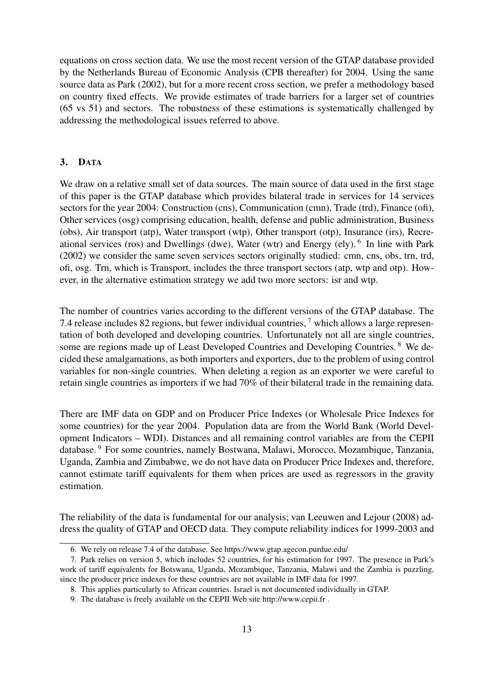equations on cross section data. We use the most recent version of the GTAP database provided by the Netherlands Bureau of Economic Analysis (CPB thereafter) for 2004. Using the same source data as [Park](#page-31-0) [\(2002\)](#page-31-0), but for a more recent cross section, we prefer a methodology based on country fixed effects. We provide estimates of trade barriers for a larger set of countries (65 vs 51) and sectors. The robustness of these estimations is systematically challenged by addressing the methodological issues referred to above.

#### <span id="page-12-0"></span>3. DATA

We draw on a relative small set of data sources. The main source of data used in the first stage of this paper is the GTAP database which provides bilateral trade in services for 14 services sectors for the year 2004: Construction (cns), Communication (cmn), Trade (trd), Finance (ofi), Other services (osg) comprising education, health, defense and public administration, Business (obs), Air transport (atp), Water transport (wtp), Other transport (otp), Insurance (irs), Recre-ational services (ros) and Dwellings (dwe), Water (wtr) and Energy (ely).<sup>[6](#page-12-1)</sup> In line with [Park](#page-31-0) [\(2002\)](#page-31-0) we consider the same seven services sectors originally studied: cmn, cns, obs, trn, trd, ofi, osg. Trn, which is Transport, includes the three transport sectors (atp, wtp and otp). However, in the alternative estimation strategy we add two more sectors: isr and wtp.

The number of countries varies according to the different versions of the GTAP database. The 7.4 release includes 82 regions, but fewer individual countries, [7](#page-12-2) which allows a large representation of both developed and developing countries. Unfortunately not all are single countries, some are regions made up of Least Developed Countries and Developing Countries. <sup>[8](#page-12-3)</sup> We decided these amalgamations, as both importers and exporters, due to the problem of using control variables for non-single countries. When deleting a region as an exporter we were careful to retain single countries as importers if we had 70% of their bilateral trade in the remaining data.

There are IMF data on GDP and on Producer Price Indexes (or Wholesale Price Indexes for some countries) for the year 2004. Population data are from the World Bank (World Development Indicators – WDI). Distances and all remaining control variables are from the CEPII database. [9](#page-12-4) For some countries, namely Bostwana, Malawi, Morocco, Mozambique, Tanzania, Uganda, Zambia and Zimbabwe, we do not have data on Producer Price Indexes and, therefore, cannot estimate tariff equivalents for them when prices are used as regressors in the gravity estimation.

The reliability of the data is fundamental for our analysis; [van Leeuwen and Lejour](#page-31-11) [\(2008\)](#page-31-11) address the quality of GTAP and OECD data. They compute reliability indices for 1999-2003 and

<span id="page-12-2"></span><span id="page-12-1"></span><sup>6.</sup> We rely on release 7.4 of the database. See https://www.gtap.agecon.purdue.edu/

<sup>7.</sup> Park relies on version 5, which includes 52 countries, for his estimation for 1997. The presence in Park's work of tariff equivalents for Botswana, Uganda, Mozambique, Tanzania, Malawi and the Zambia is puzzling, since the producer price indexes for these countries are not available in IMF data for 1997.

<span id="page-12-3"></span><sup>8.</sup> This applies particularly to African countries. Israel is not documented individually in GTAP.

<span id="page-12-4"></span><sup>9.</sup> The database is freely available on the CEPII Web site http://www.cepii.fr .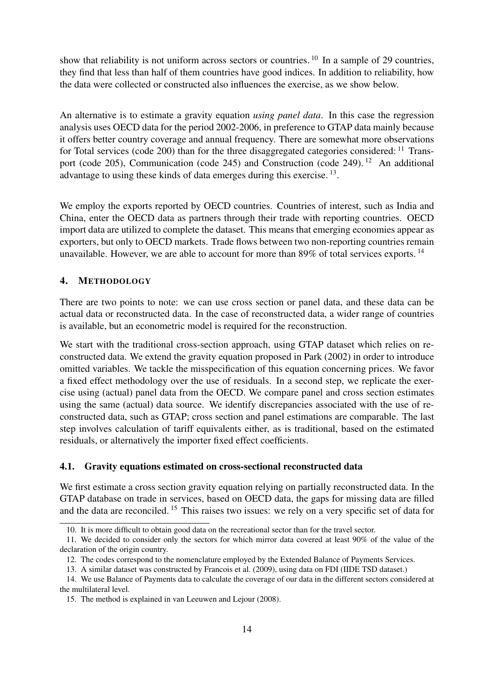show that reliability is not uniform across sectors or countries.  $^{10}$  $^{10}$  $^{10}$  In a sample of 29 countries, they find that less than half of them countries have good indices. In addition to reliability, how the data were collected or constructed also influences the exercise, as we show below.

An alternative is to estimate a gravity equation *using panel data*. In this case the regression analysis uses OECD data for the period 2002-2006, in preference to GTAP data mainly because it offers better country coverage and annual frequency. There are somewhat more observations for Total services (code 200) than for the three disaggregated categories considered:  $11$  Transport (code 205), Communication (code 245) and Construction (code 249). [12](#page-13-4) An additional advantage to using these kinds of data emerges during this exercise.<sup>[13](#page-13-5)</sup>.

We employ the exports reported by OECD countries. Countries of interest, such as India and China, enter the OECD data as partners through their trade with reporting countries. OECD import data are utilized to complete the dataset. This means that emerging economies appear as exporters, but only to OECD markets. Trade flows between two non-reporting countries remain unavailable. However, we are able to account for more than  $89\%$  of total services exports. <sup>[14](#page-13-6)</sup>

#### <span id="page-13-0"></span>4. METHODOLOGY

There are two points to note: we can use cross section or panel data, and these data can be actual data or reconstructed data. In the case of reconstructed data, a wider range of countries is available, but an econometric model is required for the reconstruction.

We start with the traditional cross-section approach, using GTAP dataset which relies on reconstructed data. We extend the gravity equation proposed in [Park](#page-31-0) [\(2002\)](#page-31-0) in order to introduce omitted variables. We tackle the misspecification of this equation concerning prices. We favor a fixed effect methodology over the use of residuals. In a second step, we replicate the exercise using (actual) panel data from the OECD. We compare panel and cross section estimates using the same (actual) data source. We identify discrepancies associated with the use of reconstructed data, such as GTAP; cross section and panel estimations are comparable. The last step involves calculation of tariff equivalents either, as is traditional, based on the estimated residuals, or alternatively the importer fixed effect coefficients.

#### <span id="page-13-1"></span>4.1. Gravity equations estimated on cross-sectional reconstructed data

We first estimate a cross section gravity equation relying on partially reconstructed data. In the GTAP database on trade in services, based on OECD data, the gaps for missing data are filled and the data are reconciled. [15](#page-13-7) This raises two issues: we rely on a very specific set of data for

<span id="page-13-3"></span><span id="page-13-2"></span><sup>10.</sup> It is more difficult to obtain good data on the recreational sector than for the travel sector.

<sup>11.</sup> We decided to consider only the sectors for which mirror data covered at least 90% of the value of the declaration of the origin country.

<span id="page-13-5"></span><span id="page-13-4"></span><sup>12.</sup> The codes correspond to the nomenclature employed by the Extended Balance of Payments Services.

<span id="page-13-6"></span><sup>13.</sup> A similar dataset was constructed by [Francois et al.](#page-30-1) [\(2009\)](#page-30-1), using data on FDI (IIDE TSD dataset.)

<sup>14.</sup> We use Balance of Payments data to calculate the coverage of our data in the different sectors considered at the multilateral level.

<span id="page-13-7"></span><sup>15.</sup> The method is explained in [van Leeuwen and Lejour](#page-31-11) [\(2008\)](#page-31-11).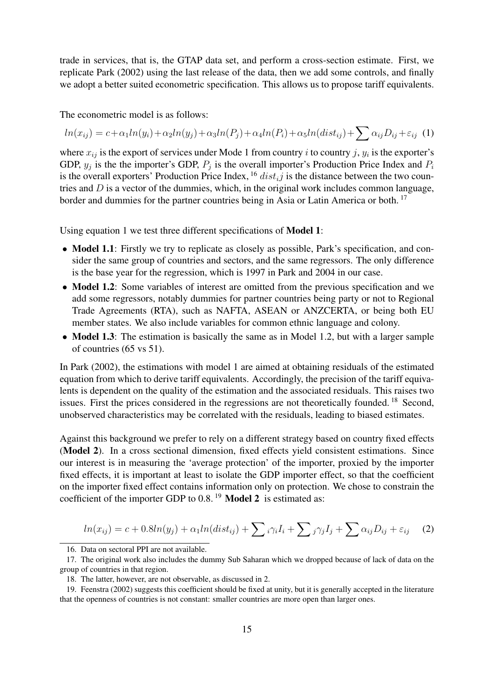trade in services, that is, the GTAP data set, and perform a cross-section estimate. First, we replicate [Park](#page-31-0) [\(2002\)](#page-31-0) using the last release of the data, then we add some controls, and finally we adopt a better suited econometric specification. This allows us to propose tariff equivalents.

The econometric model is as follows:

<span id="page-14-2"></span> $ln(x_{ij}) = c + \alpha_1 ln(y_i) + \alpha_2 ln(y_j) + \alpha_3 ln(P_j) + \alpha_4 ln(P_i) + \alpha_5 ln(dist_{ij}) + \sum \alpha_{ij} D_{ij} + \varepsilon_{ij}$  (1)

where  $x_{ij}$  is the export of services under Mode 1 from country *i* to country *j*,  $y_i$  is the exporter's GDP,  $y_j$  is the the importer's GDP,  $P_j$  is the overall importer's Production Price Index and  $P_i$ is the overall exporters' Production Price Index, <sup>[16](#page-14-0)</sup>  $dist_{i}j$  is the distance between the two countries and  $D$  is a vector of the dummies, which, in the original work includes common language, border and dummies for the partner countries being in Asia or Latin America or both.<sup>[17](#page-14-1)</sup>

Using equation [1](#page-14-2) we test three different specifications of Model 1:

- Model 1.1: Firstly we try to replicate as closely as possible, Park's specification, and consider the same group of countries and sectors, and the same regressors. The only difference is the base year for the regression, which is 1997 in Park and 2004 in our case.
- Model 1.2: Some variables of interest are omitted from the previous specification and we add some regressors, notably dummies for partner countries being party or not to Regional Trade Agreements (RTA), such as NAFTA, ASEAN or ANZCERTA, or being both EU member states. We also include variables for common ethnic language and colony.
- Model 1.3: The estimation is basically the same as in Model 1.2, but with a larger sample of countries (65 vs 51).

In [Park](#page-31-0) [\(2002\)](#page-31-0), the estimations with model 1 are aimed at obtaining residuals of the estimated equation from which to derive tariff equivalents. Accordingly, the precision of the tariff equivalents is dependent on the quality of the estimation and the associated residuals. This raises two issues. First the prices considered in the regressions are not theoretically founded. [18](#page-14-3) Second, unobserved characteristics may be correlated with the residuals, leading to biased estimates.

Against this background we prefer to rely on a different strategy based on country fixed effects (Model 2). In a cross sectional dimension, fixed effects yield consistent estimations. Since our interest is in measuring the 'average protection' of the importer, proxied by the importer fixed effects, it is important at least to isolate the GDP importer effect, so that the coefficient on the importer fixed effect contains information only on protection. We chose to constrain the coefficient of the importer GDP to 0.8.<sup>[19](#page-14-4)</sup> Model 2 is estimated as:

$$
ln(x_{ij}) = c + 0.8ln(y_j) + \alpha_1 ln(dist_{ij}) + \sum_i \gamma_i I_i + \sum_j \gamma_j I_j + \sum_i \alpha_{ij} D_{ij} + \varepsilon_{ij} \tag{2}
$$

<span id="page-14-1"></span><span id="page-14-0"></span><sup>16.</sup> Data on sectoral PPI are not available.

<sup>17.</sup> The original work also includes the dummy Sub Saharan which we dropped because of lack of data on the group of countries in that region.

<span id="page-14-4"></span><span id="page-14-3"></span><sup>18.</sup> The latter, however, are not observable, as discussed in [2.](#page-9-0)

<sup>19.</sup> [Feenstra](#page-30-16) [\(2002\)](#page-30-16) suggests this coefficient should be fixed at unity, but it is generally accepted in the literature that the openness of countries is not constant: smaller countries are more open than larger ones.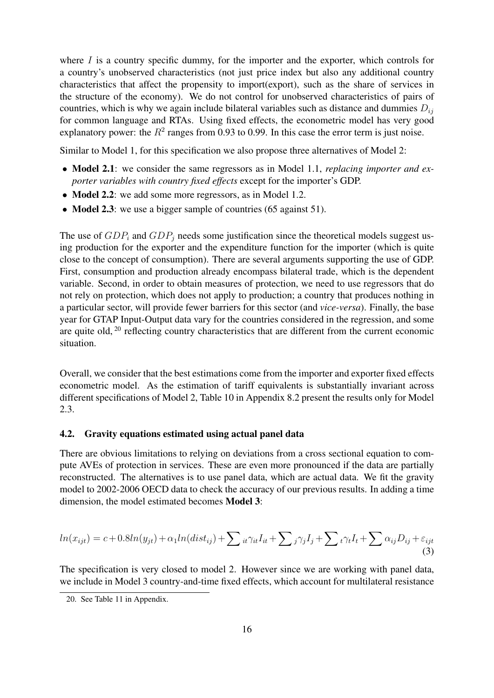where  $I$  is a country specific dummy, for the importer and the exporter, which controls for a country's unobserved characteristics (not just price index but also any additional country characteristics that affect the propensity to import(export), such as the share of services in the structure of the economy). We do not control for unobserved characteristics of pairs of countries, which is why we again include bilateral variables such as distance and dummies  $D_{ij}$ for common language and RTAs. Using fixed effects, the econometric model has very good explanatory power: the  $R^2$  ranges from 0.93 to 0.99. In this case the error term is just noise.

Similar to Model 1, for this specification we also propose three alternatives of Model 2:

- **Model 2.1**: we consider the same regressors as in Model 1.1, *replacing importer and exporter variables with country fixed effects* except for the importer's GDP.
- Model 2.2: we add some more regressors, as in Model 1.2.
- Model 2.3: we use a bigger sample of countries (65 against 51).

The use of  $GDP_i$  and  $GDP_j$  needs some justification since the theoretical models suggest using production for the exporter and the expenditure function for the importer (which is quite close to the concept of consumption). There are several arguments supporting the use of GDP. First, consumption and production already encompass bilateral trade, which is the dependent variable. Second, in order to obtain measures of protection, we need to use regressors that do not rely on protection, which does not apply to production; a country that produces nothing in a particular sector, will provide fewer barriers for this sector (and *vice-versa*). Finally, the base year for GTAP Input-Output data vary for the countries considered in the regression, and some are quite old, <sup>[20](#page-15-1)</sup> reflecting country characteristics that are different from the current economic situation.

Overall, we consider that the best estimations come from the importer and exporter fixed effects econometric model. As the estimation of tariff equivalents is substantially invariant across different specifications of Model 2, Table [10](#page-37-1) in Appendix [8.2](#page-37-0) present the results only for Model 2.3.

#### <span id="page-15-0"></span>4.2. Gravity equations estimated using actual panel data

There are obvious limitations to relying on deviations from a cross sectional equation to compute AVEs of protection in services. These are even more pronounced if the data are partially reconstructed. The alternatives is to use panel data, which are actual data. We fit the gravity model to 2002-2006 OECD data to check the accuracy of our previous results. In adding a time dimension, the model estimated becomes Model 3:

$$
ln(x_{ijt}) = c + 0.8ln(y_{jt}) + \alpha_1 ln(dist_{ij}) + \sum_{it} \gamma_{it} I_{it} + \sum_{j} \gamma_j I_j + \sum_{t} \gamma_t I_t + \sum_{j} \alpha_{ij} D_{ij} + \varepsilon_{ijt}
$$
\n(3)

The specification is very closed to model 2. However since we are working with panel data, we include in Model 3 country-and-time fixed effects, which account for multilateral resistance

<span id="page-15-1"></span><sup>20.</sup> See Table [11](#page-39-1) in Appendix.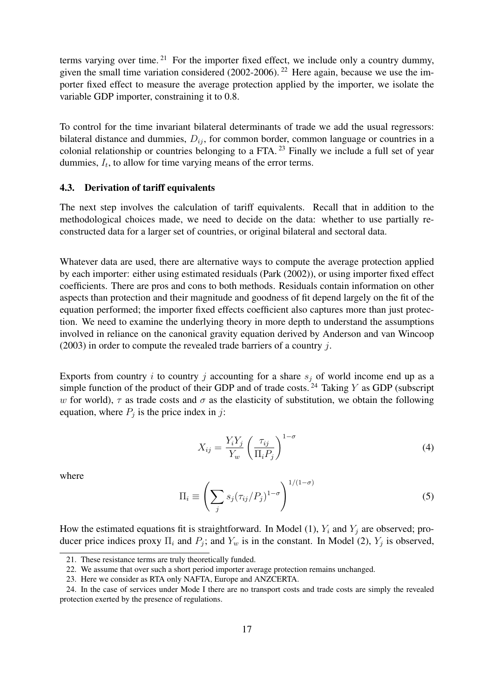terms varying over time.<sup>[21](#page-16-1)</sup> For the importer fixed effect, we include only a country dummy, given the small time variation considered (2002-2006). <sup>[22](#page-16-2)</sup> Here again, because we use the importer fixed effect to measure the average protection applied by the importer, we isolate the variable GDP importer, constraining it to 0.8.

To control for the time invariant bilateral determinants of trade we add the usual regressors: bilateral distance and dummies,  $D_{ij}$ , for common border, common language or countries in a colonial relationship or countries belonging to a FTA.<sup>[23](#page-16-3)</sup> Finally we include a full set of year dummies,  $I_t$ , to allow for time varying means of the error terms.

#### <span id="page-16-0"></span>4.3. Derivation of tariff equivalents

The next step involves the calculation of tariff equivalents. Recall that in addition to the methodological choices made, we need to decide on the data: whether to use partially reconstructed data for a larger set of countries, or original bilateral and sectoral data.

Whatever data are used, there are alternative ways to compute the average protection applied by each importer: either using estimated residuals [\(Park](#page-31-0) [\(2002\)](#page-31-0)), or using importer fixed effect coefficients. There are pros and cons to both methods. Residuals contain information on other aspects than protection and their magnitude and goodness of fit depend largely on the fit of the equation performed; the importer fixed effects coefficient also captures more than just protection. We need to examine the underlying theory in more depth to understand the assumptions involved in reliance on the canonical gravity equation derived by [Anderson and van Wincoop](#page-30-10)  $(2003)$  in order to compute the revealed trade barriers of a country j.

Exports from country i to country j accounting for a share  $s_j$  of world income end up as a simple function of the product of their GDP and of trade costs.<sup>[24](#page-16-4)</sup> Taking Y as GDP (subscript w for world),  $\tau$  as trade costs and  $\sigma$  as the elasticity of substitution, we obtain the following equation, where  $P_j$  is the price index in j:

$$
X_{ij} = \frac{Y_i Y_j}{Y_w} \left(\frac{\tau_{ij}}{\Pi_i P_j}\right)^{1-\sigma} \tag{4}
$$

where

$$
\Pi_i \equiv \left(\sum_j s_j (\tau_{ij}/P_j)^{1-\sigma}\right)^{1/(1-\sigma)}\tag{5}
$$

How the estimated equations fit is straightforward. In Model (1),  $Y_i$  and  $Y_j$  are observed; producer price indices proxy  $\Pi_i$  and  $P_j$ ; and  $Y_w$  is in the constant. In Model (2),  $Y_j$  is observed,

<span id="page-16-1"></span><sup>21.</sup> These resistance terms are truly theoretically funded.

<span id="page-16-2"></span><sup>22.</sup> We assume that over such a short period importer average protection remains unchanged.

<span id="page-16-4"></span><span id="page-16-3"></span><sup>23.</sup> Here we consider as RTA only NAFTA, Europe and ANZCERTA.

<sup>24.</sup> In the case of services under Mode I there are no transport costs and trade costs are simply the revealed protection exerted by the presence of regulations.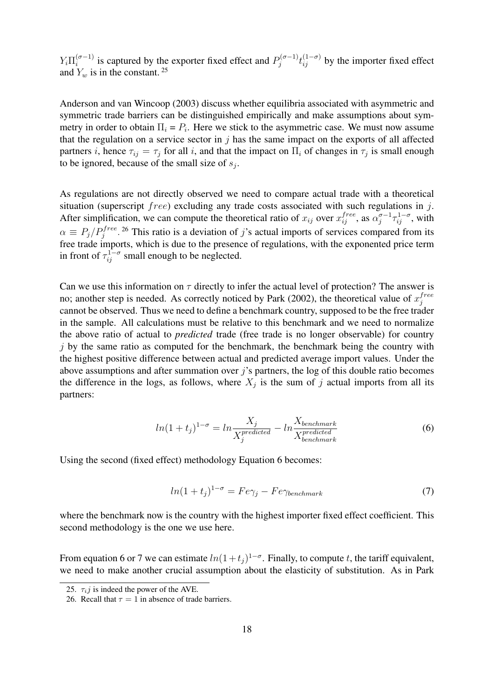$Y_i \prod_i^{(\sigma - 1)}$  $i^{(\sigma-1)}$  is captured by the exporter fixed effect and  $P_j^{(\sigma-1)}$  $t_{j}^{(\sigma-1)}t_{ij}^{(1-\sigma)}$  by the importer fixed effect and  $Y_w$  is in the constant.<sup>[25](#page-17-0)</sup>

[Anderson and van Wincoop](#page-30-10) [\(2003\)](#page-30-10) discuss whether equilibria associated with asymmetric and symmetric trade barriers can be distinguished empirically and make assumptions about symmetry in order to obtain  $\Pi_i = P_i$ . Here we stick to the asymmetric case. We must now assume that the regulation on a service sector in  $j$  has the same impact on the exports of all affected partners *i*, hence  $\tau_{ij} = \tau_j$  for all *i*, and that the impact on  $\Pi_i$  of changes in  $\tau_j$  is small enough to be ignored, because of the small size of  $s_j$ .

As regulations are not directly observed we need to compare actual trade with a theoretical situation (superscript *free*) excluding any trade costs associated with such regulations in j. After simplification, we can compute the theoretical ratio of  $x_{ij}$  over  $x_{ij}^{free}$ , as  $\alpha_j^{\sigma-1}$  $\int_{j}^{\sigma-1} \tau_{ij}^{1-\sigma}$ , with  $\alpha \equiv P_j/P_j^{free}$ . <sup>[26](#page-17-1)</sup> This ratio is a deviation of j's actual imports of services compared from its free trade imports, which is due to the presence of regulations, with the exponented price term in front of  $\tau_{ij}^{1-\sigma}$  small enough to be neglected.

Can we use this information on  $\tau$  directly to infer the actual level of protection? The answer is no; another step is needed. As correctly noticed by [Park](#page-31-0) [\(2002\)](#page-31-0), the theoretical value of  $x_i^{free}$ j cannot be observed. Thus we need to define a benchmark country, supposed to be the free trader in the sample. All calculations must be relative to this benchmark and we need to normalize the above ratio of actual to *predicted* trade (free trade is no longer observable) for country  $j$  by the same ratio as computed for the benchmark, the benchmark being the country with the highest positive difference between actual and predicted average import values. Under the above assumptions and after summation over  $j$ 's partners, the log of this double ratio becomes the difference in the logs, as follows, where  $X_j$  is the sum of j actual imports from all its partners:

$$
ln(1+t_j)^{1-\sigma} = ln \frac{X_j}{X_j^{predicted}} - ln \frac{X_{benchmark}}{X_{benchmark}^{predicted}}
$$
 (6)

<span id="page-17-3"></span><span id="page-17-2"></span>Using the second (fixed effect) methodology Equation [6](#page-17-2) becomes:

$$
ln(1+t_j)^{1-\sigma} = Fe\gamma_j - Fe\gamma_{benchmark}
$$
\n(7)

where the benchmark now is the country with the highest importer fixed effect coefficient. This second methodology is the one we use here.

From equation [6](#page-17-2) or [7](#page-17-3) we can estimate  $ln(1+t_j)^{1-\sigma}$ . Finally, to compute t, the tariff equivalent, we need to make another crucial assumption about the elasticity of substitution. As in [Park](#page-31-0)

<span id="page-17-0"></span><sup>25.</sup>  $\tau_i$ *j* is indeed the power of the AVE.

<span id="page-17-1"></span><sup>26.</sup> Recall that  $\tau = 1$  in absence of trade barriers.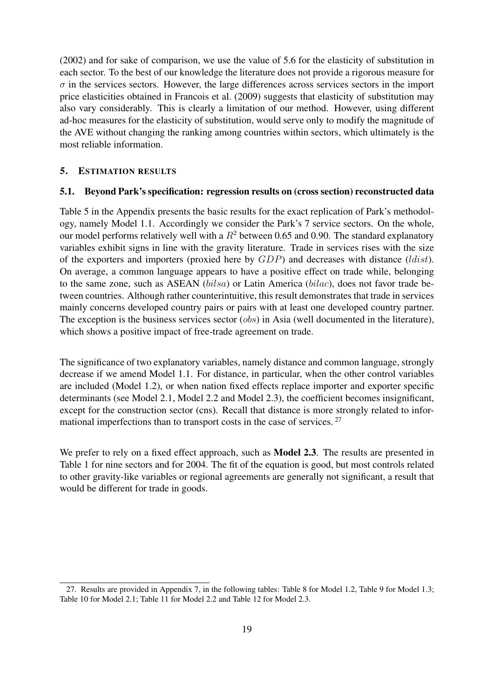[\(2002\)](#page-31-0) and for sake of comparison, we use the value of 5.6 for the elasticity of substitution in each sector. To the best of our knowledge the literature does not provide a rigorous measure for  $\sigma$  in the services sectors. However, the large differences across services sectors in the import price elasticities obtained in [Francois et al.](#page-30-1) [\(2009\)](#page-30-1) suggests that elasticity of substitution may also vary considerably. This is clearly a limitation of our method. However, using different ad-hoc measures for the elasticity of substitution, would serve only to modify the magnitude of the AVE without changing the ranking among countries within sectors, which ultimately is the most reliable information.

#### <span id="page-18-0"></span>5. ESTIMATION RESULTS

#### <span id="page-18-1"></span>5.1. Beyond Park's specification: regression results on (cross section) reconstructed data

Table [5](#page-32-2) in the Appendix presents the basic results for the exact replication of Park's methodology, namely Model 1.1. Accordingly we consider the Park's 7 service sectors. On the whole, our model performs relatively well with a  $R^2$  between 0.65 and 0.90. The standard explanatory variables exhibit signs in line with the gravity literature. Trade in services rises with the size of the exporters and importers (proxied here by  $GDP$ ) and decreases with distance (*ldist*). On average, a common language appears to have a positive effect on trade while, belonging to the same zone, such as ASEAN (bilsa) or Latin America (bilac), does not favor trade between countries. Although rather counterintuitive, this result demonstrates that trade in services mainly concerns developed country pairs or pairs with at least one developed country partner. The exception is the business services sector (*obs*) in Asia (well documented in the literature), which shows a positive impact of free-trade agreement on trade.

The significance of two explanatory variables, namely distance and common language, strongly decrease if we amend Model 1.1. For distance, in particular, when the other control variables are included (Model 1.2), or when nation fixed effects replace importer and exporter specific determinants (see Model 2.1, Model 2.2 and Model 2.3), the coefficient becomes insignificant, except for the construction sector (cns). Recall that distance is more strongly related to infor-mational imperfections than to transport costs in the case of services. <sup>[27](#page-18-2)</sup>

We prefer to rely on a fixed effect approach, such as **Model 2.3**. The results are presented in Table [1](#page-19-0) for nine sectors and for 2004. The fit of the equation is good, but most controls related to other gravity-like variables or regional agreements are generally not significant, a result that would be different for trade in goods.

<span id="page-18-2"></span><sup>27.</sup> Results are provided in Appendix 7, in the following tables: Table 8 for Model 1.2, Table 9 for Model 1.3; Table 10 for Model 2.1; Table 11 for Model 2.2 and Table 12 for Model 2.3.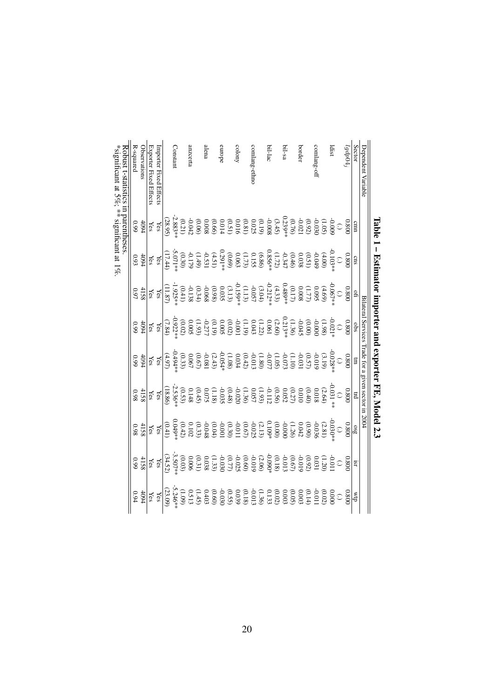<span id="page-19-0"></span>

|                                     |             | Iable 1 – Estimator importer and exporter FE, Model 2.3                                                                                                                                                                                                                            |      |                                                                                                                                                                                                                                                                                                               |                                  |                                                                                                                                                                                                                                                                                                          |                                                                                                                                                                                                                                                                                                                                                                                            |                                 |                                 |
|-------------------------------------|-------------|------------------------------------------------------------------------------------------------------------------------------------------------------------------------------------------------------------------------------------------------------------------------------------|------|---------------------------------------------------------------------------------------------------------------------------------------------------------------------------------------------------------------------------------------------------------------------------------------------------------------|----------------------------------|----------------------------------------------------------------------------------------------------------------------------------------------------------------------------------------------------------------------------------------------------------------------------------------------------------|--------------------------------------------------------------------------------------------------------------------------------------------------------------------------------------------------------------------------------------------------------------------------------------------------------------------------------------------------------------------------------------------|---------------------------------|---------------------------------|
| Dependent Variable                  |             |                                                                                                                                                                                                                                                                                    |      |                                                                                                                                                                                                                                                                                                               |                                  | Bilateral Services Trade for a given sector in 2004                                                                                                                                                                                                                                                      |                                                                                                                                                                                                                                                                                                                                                                                            |                                 |                                 |
| Sector                              | cmn         | cns                                                                                                                                                                                                                                                                                |      |                                                                                                                                                                                                                                                                                                               |                                  | $_{\rm H}$                                                                                                                                                                                                                                                                                               |                                                                                                                                                                                                                                                                                                                                                                                            | ISL                             | ₫M                              |
| $lgdp04_g$                          | 0.800       | 0080                                                                                                                                                                                                                                                                               | 0080 | $\frac{obs}{0.800}$                                                                                                                                                                                                                                                                                           | $\frac{\text{cm}}{\text{0.800}}$ | 0080                                                                                                                                                                                                                                                                                                     | $\frac{0.88}{0.800}$                                                                                                                                                                                                                                                                                                                                                                       | 0.800                           | 0.800                           |
|                                     |             |                                                                                                                                                                                                                                                                                    |      |                                                                                                                                                                                                                                                                                                               |                                  |                                                                                                                                                                                                                                                                                                          |                                                                                                                                                                                                                                                                                                                                                                                            | $\bigodot$                      |                                 |
| ldist                               |             | $\begin{array}{c} 0.103^{*}_{1} & 0.03^{*}_{1} & 0.03^{*}_{1} \\ 0.000 & 0.035 & 0.035 \\ 0.0000 & 0.035 & 0.035 \\ 0.00000 & 0.035 & 0.035 \\ 0.000000 & 0.035 & 0.035 \\ 0.000000 & 0.035 & 0.035 \\ 0.000000 & 0.035 & 0.035 \\ 0.00000 & 0.035 & 0.035 \\ 0.00000 & 0.035 & 0$ |      | $\begin{array}{c} -0.021700 \\ -0.021700 \\ -0.02400 \\ -0.02400 \\ -0.02400 \\ -0.02400 \\ -0.02400 \\ -0.02400 \\ -0.02400 \\ -0.02400 \\ -0.02400 \\ -0.02400 \\ -0.02400 \\ -0.02400 \\ -0.02400 \\ -0.02400 \\ -0.02400 \\ -0.02400 \\ -0.02400 \\ -0.02400 \\ -0.02400 \\ -0.02400 \\ -0.02400 \\ -0.0$ |                                  | $\begin{array}{r} 0.031 * & 0.033 * \\ 0.031 * & 0.033 * \\ 0.032 * & 0.033 * \\ 0.033 * & 0.033 * \\ 0.034 * & 0.035 * \\ 0.035 * & 0.035 * \\ 0.035 * & 0.035 * \\ 0.035 * & 0.035 * \\ 0.035 * & 0.035 * \\ 0.035 * & 0.035 * \\ 0.035 * & 0.035 * \\ 0.035 * & 0.035 * \\ 0.035 * & 0.035 * \\ 0.03$ | $\begin{array}{c} 0.93 \\ 0.93 \\ 0.94 \\ 0.95 \\ 0.96 \\ \end{array} \rightarrow \begin{array}{l} 0.000 \\ 0.000 \\ 0.000 \\ 0.000 \\ 0.000 \\ 0.000 \\ 0.000 \\ \end{array} \rightarrow \begin{array}{l} 0.000 \\ 0.000 \\ 0.000 \\ 0.000 \\ 0.000 \\ 0.000 \\ 0.000 \\ \end{array} \rightarrow \begin{array}{l} 0.000 \\ 0.000 \\ 0.000 \\ 0.000 \\ 0.000 \\ \end{array} \rightarrow \$ |                                 |                                 |
|                                     |             |                                                                                                                                                                                                                                                                                    |      |                                                                                                                                                                                                                                                                                                               |                                  |                                                                                                                                                                                                                                                                                                          |                                                                                                                                                                                                                                                                                                                                                                                            |                                 |                                 |
| comlang-off                         |             |                                                                                                                                                                                                                                                                                    |      |                                                                                                                                                                                                                                                                                                               |                                  |                                                                                                                                                                                                                                                                                                          |                                                                                                                                                                                                                                                                                                                                                                                            |                                 |                                 |
|                                     |             |                                                                                                                                                                                                                                                                                    |      |                                                                                                                                                                                                                                                                                                               |                                  |                                                                                                                                                                                                                                                                                                          |                                                                                                                                                                                                                                                                                                                                                                                            |                                 |                                 |
| border                              |             |                                                                                                                                                                                                                                                                                    |      |                                                                                                                                                                                                                                                                                                               |                                  |                                                                                                                                                                                                                                                                                                          |                                                                                                                                                                                                                                                                                                                                                                                            |                                 |                                 |
|                                     |             |                                                                                                                                                                                                                                                                                    |      |                                                                                                                                                                                                                                                                                                               |                                  |                                                                                                                                                                                                                                                                                                          |                                                                                                                                                                                                                                                                                                                                                                                            |                                 |                                 |
| bil-sa                              |             |                                                                                                                                                                                                                                                                                    |      |                                                                                                                                                                                                                                                                                                               |                                  |                                                                                                                                                                                                                                                                                                          |                                                                                                                                                                                                                                                                                                                                                                                            |                                 |                                 |
|                                     |             |                                                                                                                                                                                                                                                                                    |      |                                                                                                                                                                                                                                                                                                               |                                  |                                                                                                                                                                                                                                                                                                          |                                                                                                                                                                                                                                                                                                                                                                                            |                                 |                                 |
| bil-lac                             |             |                                                                                                                                                                                                                                                                                    |      |                                                                                                                                                                                                                                                                                                               |                                  |                                                                                                                                                                                                                                                                                                          |                                                                                                                                                                                                                                                                                                                                                                                            |                                 |                                 |
|                                     |             |                                                                                                                                                                                                                                                                                    |      |                                                                                                                                                                                                                                                                                                               |                                  |                                                                                                                                                                                                                                                                                                          |                                                                                                                                                                                                                                                                                                                                                                                            |                                 |                                 |
| comlang-ethno                       |             |                                                                                                                                                                                                                                                                                    |      |                                                                                                                                                                                                                                                                                                               |                                  |                                                                                                                                                                                                                                                                                                          |                                                                                                                                                                                                                                                                                                                                                                                            |                                 |                                 |
|                                     |             |                                                                                                                                                                                                                                                                                    |      |                                                                                                                                                                                                                                                                                                               |                                  |                                                                                                                                                                                                                                                                                                          |                                                                                                                                                                                                                                                                                                                                                                                            |                                 |                                 |
| colony                              |             |                                                                                                                                                                                                                                                                                    |      |                                                                                                                                                                                                                                                                                                               |                                  |                                                                                                                                                                                                                                                                                                          |                                                                                                                                                                                                                                                                                                                                                                                            |                                 |                                 |
|                                     |             |                                                                                                                                                                                                                                                                                    |      |                                                                                                                                                                                                                                                                                                               |                                  |                                                                                                                                                                                                                                                                                                          |                                                                                                                                                                                                                                                                                                                                                                                            |                                 |                                 |
| enrope                              |             |                                                                                                                                                                                                                                                                                    |      |                                                                                                                                                                                                                                                                                                               |                                  |                                                                                                                                                                                                                                                                                                          |                                                                                                                                                                                                                                                                                                                                                                                            |                                 |                                 |
|                                     |             |                                                                                                                                                                                                                                                                                    |      |                                                                                                                                                                                                                                                                                                               |                                  |                                                                                                                                                                                                                                                                                                          |                                                                                                                                                                                                                                                                                                                                                                                            |                                 |                                 |
| alena                               |             |                                                                                                                                                                                                                                                                                    |      |                                                                                                                                                                                                                                                                                                               |                                  |                                                                                                                                                                                                                                                                                                          |                                                                                                                                                                                                                                                                                                                                                                                            |                                 |                                 |
|                                     |             |                                                                                                                                                                                                                                                                                    |      |                                                                                                                                                                                                                                                                                                               |                                  |                                                                                                                                                                                                                                                                                                          |                                                                                                                                                                                                                                                                                                                                                                                            |                                 |                                 |
| anzcerta                            |             |                                                                                                                                                                                                                                                                                    |      |                                                                                                                                                                                                                                                                                                               |                                  |                                                                                                                                                                                                                                                                                                          |                                                                                                                                                                                                                                                                                                                                                                                            |                                 |                                 |
|                                     |             |                                                                                                                                                                                                                                                                                    |      |                                                                                                                                                                                                                                                                                                               |                                  |                                                                                                                                                                                                                                                                                                          |                                                                                                                                                                                                                                                                                                                                                                                            |                                 |                                 |
| Constant                            |             |                                                                                                                                                                                                                                                                                    |      |                                                                                                                                                                                                                                                                                                               |                                  |                                                                                                                                                                                                                                                                                                          |                                                                                                                                                                                                                                                                                                                                                                                            |                                 |                                 |
|                                     |             |                                                                                                                                                                                                                                                                                    |      |                                                                                                                                                                                                                                                                                                               |                                  |                                                                                                                                                                                                                                                                                                          |                                                                                                                                                                                                                                                                                                                                                                                            |                                 |                                 |
| mporter Fixed Effects               | Yes<br>Yes  |                                                                                                                                                                                                                                                                                    |      |                                                                                                                                                                                                                                                                                                               | $\times$ $\times$                |                                                                                                                                                                                                                                                                                                          |                                                                                                                                                                                                                                                                                                                                                                                            | $\frac{\text{Yes}}{\text{Yes}}$ | $\frac{\text{Yes}}{\text{Yes}}$ |
| Exporter Fixed Effects              |             |                                                                                                                                                                                                                                                                                    |      |                                                                                                                                                                                                                                                                                                               |                                  |                                                                                                                                                                                                                                                                                                          |                                                                                                                                                                                                                                                                                                                                                                                            |                                 |                                 |
| Observations                        | 4094<br>199 | 4094                                                                                                                                                                                                                                                                               |      |                                                                                                                                                                                                                                                                                                               | $rac{4094}{0.99}$                | $\frac{4158}{0.98}$                                                                                                                                                                                                                                                                                      | $\frac{4158}{0.98}$                                                                                                                                                                                                                                                                                                                                                                        | $4159$<br>$0.99$                | $+094$                          |
| R-squared                           |             | 0.93                                                                                                                                                                                                                                                                               |      |                                                                                                                                                                                                                                                                                                               |                                  |                                                                                                                                                                                                                                                                                                          |                                                                                                                                                                                                                                                                                                                                                                                            |                                 | 6.94                            |
| Robust t-statistics in parentheses. |             |                                                                                                                                                                                                                                                                                    |      |                                                                                                                                                                                                                                                                                                               |                                  |                                                                                                                                                                                                                                                                                                          |                                                                                                                                                                                                                                                                                                                                                                                            |                                 |                                 |

\*significant at  $5\%$ ; \*\* significant at 1%. \*significant at 5%; \*\* significant at 1%.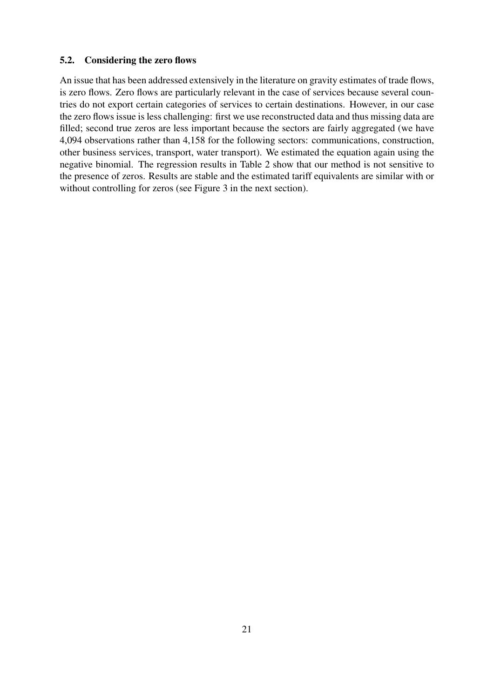#### <span id="page-20-0"></span>5.2. Considering the zero flows

An issue that has been addressed extensively in the literature on gravity estimates of trade flows, is zero flows. Zero flows are particularly relevant in the case of services because several countries do not export certain categories of services to certain destinations. However, in our case the zero flows issue is less challenging: first we use reconstructed data and thus missing data are filled; second true zeros are less important because the sectors are fairly aggregated (we have 4,094 observations rather than 4,158 for the following sectors: communications, construction, other business services, transport, water transport). We estimated the equation again using the negative binomial. The regression results in Table [2](#page-21-0) show that our method is not sensitive to the presence of zeros. Results are stable and the estimated tariff equivalents are similar with or without controlling for zeros (see Figure [3](#page-27-0) in the next section).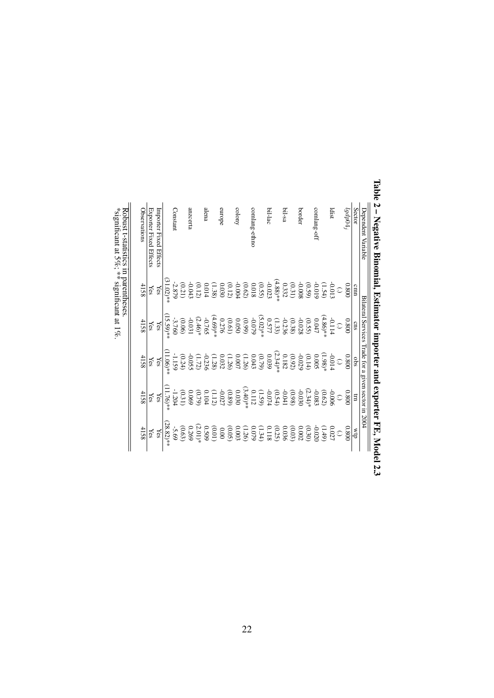<span id="page-21-0"></span>

| Dependent Variable     |                                                                                                                  | Bilateral Services Trade for a given sector in 2004                                                                                                                                                                                                                                         |                                                |                                                                                                                   |                                                                                                                                                                                                                                                                                                  |
|------------------------|------------------------------------------------------------------------------------------------------------------|---------------------------------------------------------------------------------------------------------------------------------------------------------------------------------------------------------------------------------------------------------------------------------------------|------------------------------------------------|-------------------------------------------------------------------------------------------------------------------|--------------------------------------------------------------------------------------------------------------------------------------------------------------------------------------------------------------------------------------------------------------------------------------------------|
| <b>Sector</b>          | cmn                                                                                                              | cns                                                                                                                                                                                                                                                                                         | sqo                                            | $\Xi$                                                                                                             | d <sub>1</sub> M                                                                                                                                                                                                                                                                                 |
| $^{l}$                 | 0.800                                                                                                            | 0.800                                                                                                                                                                                                                                                                                       | 0.800                                          | 0.800                                                                                                             | 0.800                                                                                                                                                                                                                                                                                            |
|                        | $\odot$                                                                                                          | $\hat{\cdot}$                                                                                                                                                                                                                                                                               | $\odot$                                        | $\hat{\cdot}$                                                                                                     | $\hat{\cdot}$                                                                                                                                                                                                                                                                                    |
| ldist                  | -0.013                                                                                                           |                                                                                                                                                                                                                                                                                             | -0.014                                         | 900'0-                                                                                                            | 0.027                                                                                                                                                                                                                                                                                            |
|                        |                                                                                                                  | $-0.114$<br>(4.86)**                                                                                                                                                                                                                                                                        | $(1.98)$ *                                     | (0.62)                                                                                                            | (6f)                                                                                                                                                                                                                                                                                             |
| comlang-off            | (1.54)                                                                                                           | $0.047$                                                                                                                                                                                                                                                                                     | <b>0.005</b>                                   | -0.083                                                                                                            | $-0.020$                                                                                                                                                                                                                                                                                         |
|                        |                                                                                                                  |                                                                                                                                                                                                                                                                                             |                                                | $(2.34)*$                                                                                                         | (0.30)                                                                                                                                                                                                                                                                                           |
| border                 | $\begin{array}{c} (0.59) \\ -0.008 \\ (0.31) \end{array}$                                                        |                                                                                                                                                                                                                                                                                             | $0.14$<br>(4)                                  | -0.030                                                                                                            |                                                                                                                                                                                                                                                                                                  |
|                        |                                                                                                                  |                                                                                                                                                                                                                                                                                             |                                                |                                                                                                                   |                                                                                                                                                                                                                                                                                                  |
| bil-sa                 | 0.332                                                                                                            |                                                                                                                                                                                                                                                                                             | $\begin{array}{c} (0.92) \\ 0.182 \end{array}$ |                                                                                                                   |                                                                                                                                                                                                                                                                                                  |
|                        | $(4.88)*$                                                                                                        | $\begin{array}{l} 0.578\\ -0.028\\ 0.389\\ -0.372\\ 0.577\\ -0.577\\ -0.059\\ -0.050\\ -0.0276\\ -0.0276\\ -0.0276\\ -0.0276\\ -0.0276\\ -0.0276\\ -0.0276\\ -0.0276\\ -0.0276\\ -0.0276\\ -0.0276\\ -0.0276\\ -0.0276\\ -0.0276\\ -0.0276\\ -0.0276\\ -0.0276\\ -0.0276\\ -0.0276\\ -0.02$ | $(2.34)$ **<br>0.039<br>0.079)<br>0.043        | $\begin{array}{c} (0.98) \\ -0.041 \\ (0.54) \\ (1.59) \\ (1.12) \\ (0.112) \\ (0.112) \\ (0.112) \\ \end{array}$ | $\begin{array}{c} 0.002\\[-4pt] 0.033\\[-4pt] 0.035\\[-4pt] 0.024\\[-4pt] 0.003\\[-4pt] 0.003\\[-4pt] 0.003\\[-4pt] 0.003\\[-4pt] 0.000\\[-4pt] 0.000\\[-4pt] 0.000\\[-4pt] 0.000\\[-4pt] 0.000\\[-4pt] 0.000\\[-4pt] 0.000\\[-4pt] 0.000\\[-4pt] 0.000\\[-4pt] 0.000\\[-4pt] 0.000\\[-4pt] 0.0$ |
| bil-lac                | $-0.023$                                                                                                         |                                                                                                                                                                                                                                                                                             |                                                |                                                                                                                   |                                                                                                                                                                                                                                                                                                  |
|                        |                                                                                                                  |                                                                                                                                                                                                                                                                                             |                                                |                                                                                                                   |                                                                                                                                                                                                                                                                                                  |
| comlang-ethno          | (0.55)                                                                                                           |                                                                                                                                                                                                                                                                                             |                                                |                                                                                                                   |                                                                                                                                                                                                                                                                                                  |
|                        |                                                                                                                  |                                                                                                                                                                                                                                                                                             |                                                | $(3.40)*$                                                                                                         |                                                                                                                                                                                                                                                                                                  |
| colony                 |                                                                                                                  |                                                                                                                                                                                                                                                                                             | (1.26)                                         | 0.030                                                                                                             |                                                                                                                                                                                                                                                                                                  |
|                        |                                                                                                                  |                                                                                                                                                                                                                                                                                             |                                                |                                                                                                                   |                                                                                                                                                                                                                                                                                                  |
| europe                 | $\begin{array}{c} (0.62) \\[-4pt] 0.010 \\[-4pt] 0.030 \\[-4pt] 0.014 \\[-4pt] 0.014 \\[-4pt] 0.014 \end{array}$ |                                                                                                                                                                                                                                                                                             | (1.26)                                         | $0.89$<br>$-0.027$                                                                                                |                                                                                                                                                                                                                                                                                                  |
|                        |                                                                                                                  | $(4.69)*$                                                                                                                                                                                                                                                                                   | (1.28)                                         | (1.12)                                                                                                            |                                                                                                                                                                                                                                                                                                  |
| alena                  |                                                                                                                  | -0.765                                                                                                                                                                                                                                                                                      | $-0.236$                                       | $0.104$                                                                                                           |                                                                                                                                                                                                                                                                                                  |
|                        |                                                                                                                  | $(2.46)*$                                                                                                                                                                                                                                                                                   | (1.72)                                         | (0.79)                                                                                                            | $\begin{array}{c} (0.01) \\ 0.509 \\ (2.01)* \\ 0.269 \end{array}$                                                                                                                                                                                                                               |
| anzcerta               |                                                                                                                  | 180'0-                                                                                                                                                                                                                                                                                      |                                                | 690'0                                                                                                             |                                                                                                                                                                                                                                                                                                  |
|                        | $\begin{array}{c} (0.12) \\ -0.043 \\ (0.21) \end{array}$                                                        | (90.06)                                                                                                                                                                                                                                                                                     | (0.24)                                         | (0.31)                                                                                                            | (0.63)                                                                                                                                                                                                                                                                                           |
| Constant               | $-2.879$                                                                                                         | -3.760                                                                                                                                                                                                                                                                                      | $-1.159$                                       | $-1.204$                                                                                                          | $-5.69$                                                                                                                                                                                                                                                                                          |
|                        | $31.02$ <sup>**</sup>                                                                                            | 15.59)**                                                                                                                                                                                                                                                                                    | $11.06$ <sup>**</sup>                          | $11.76$ <sup>*</sup>                                                                                              | $(28.82)*$                                                                                                                                                                                                                                                                                       |
| Importer Fixed Effects | Yes                                                                                                              | Yes                                                                                                                                                                                                                                                                                         | Yes                                            | Yes                                                                                                               | Yes                                                                                                                                                                                                                                                                                              |
| Exporter Fixed Effects | Yes                                                                                                              | Yes                                                                                                                                                                                                                                                                                         | Yes                                            | Yes                                                                                                               | Yes                                                                                                                                                                                                                                                                                              |
| <b>Observations</b>    | 4158                                                                                                             | 4158                                                                                                                                                                                                                                                                                        | 4158                                           | 4158                                                                                                              | 4158                                                                                                                                                                                                                                                                                             |

Table 2 - Negative Binomial, Estimator importer and exporter FE, Model 2.3 Table 2 – Negative Binomial, Estimator importer and exporter FE, Model 2.3

\*significant at  $5\%$ ; \*\* significant at 1%. \*significant at 5%; \*\* significant at 1%.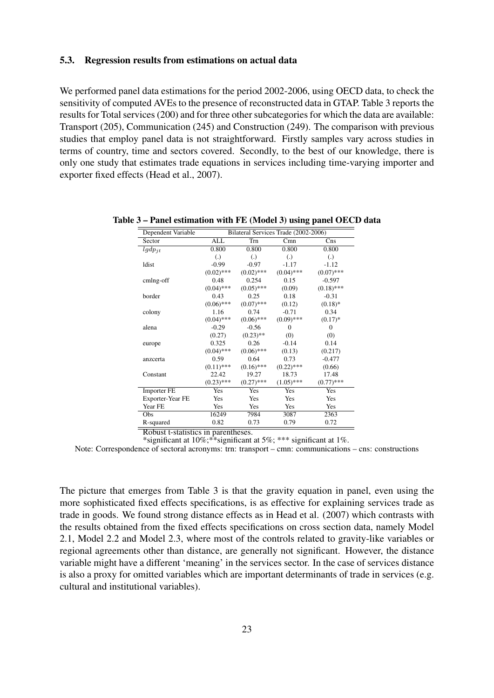#### <span id="page-22-0"></span>5.3. Regression results from estimations on actual data

We performed panel data estimations for the period 2002-2006, using OECD data, to check the sensitivity of computed AVEs to the presence of reconstructed data in GTAP. Table [3](#page-22-1) reports the results for Total services (200) and for three other subcategories for which the data are available: Transport (205), Communication (245) and Construction (249). The comparison with previous studies that employ panel data is not straightforward. Firstly samples vary across studies in terms of country, time and sectors covered. Secondly, to the best of our knowledge, there is only one study that estimates trade equations in services including time-varying importer and exporter fixed effects [\(Head et al.,](#page-30-19) [2007\)](#page-30-19).

| Dependent Variable |                   |                   | Bilateral Services Trade (2002-2006) |                   |
|--------------------|-------------------|-------------------|--------------------------------------|-------------------|
| Sector             | <b>ALL</b>        | Trn               | Cmn                                  | C <sub>ns</sub>   |
| $lgdp_{it}$        | 0.800             | 0.800             | 0.800                                | 0.800             |
|                    | $\left( .\right)$ | $\left( .\right)$ | $\left( .\right)$                    | $\left( .\right)$ |
| <b>Idist</b>       | $-0.99$           | $-0.97$           | $-1.17$                              | $-1.12$           |
|                    | $(0.02)$ ***      | $(0.02)$ ***      | $(0.04)$ ***                         | $(0.07)$ ***      |
| cmlng-off          | 0.48              | 0.254             | 0.15                                 | $-0.597$          |
|                    | $(0.04)$ ***      | $(0.05)$ ***      | (0.09)                               | $(0.18)$ ***      |
| border             | 0.43              | 0.25              | 0.18                                 | $-0.31$           |
|                    | $(0.06)$ ***      | $(0.07)$ ***      | (0.12)                               | $(0.18)$ *        |
| colony             | 1.16              | 0.74              | $-0.71$                              | 0.34              |
|                    | $(0.04)$ ***      | $(0.06)$ ***      | $(0.09)$ ***                         | $(0.17)*$         |
| alena              | $-0.29$           | $-0.56$           | $\Omega$                             | $\Omega$          |
|                    | (0.27)            | $(0.23)$ **       | (0)                                  | (0)               |
| europe             | 0.325             | 0.26              | $-0.14$                              | 0.14              |
|                    | $(0.04)$ ***      | $(0.06)$ ***      | (0.13)                               | (0.217)           |
| anzcerta           | 0.59              | 0.64              | 0.73                                 | $-0.477$          |
|                    | $(0.11)$ ***      | $(0.16)$ ***      | $(0.22)$ ***                         | (0.66)            |
| Constant           | 22.42             | 19.27             | 18.73                                | 17.48             |
|                    | $(0.23)$ ***      | $(0.27)$ ***      | $(1.05)$ ***                         | $(0.77)$ ***      |
| <b>Importer FE</b> | Yes               | Yes               | Yes                                  | Yes               |
| Exporter-Year FE   | Yes               | Yes               | Yes                                  | Yes               |
| Year FE            | Yes               | Yes               | Yes                                  | Yes               |
| Obs                | 16249             | 7984              | 3087                                 | 2363              |
| R-squared          | 0.82              | 0.73              | 0.79                                 | 0.72              |

<span id="page-22-1"></span>Table 3 – Panel estimation with FE (Model 3) using panel OECD data

Robust t-statistics in parentheses. \*significant at 10%;\*\*significant at 5%; \*\*\* significant at 1%.

Note: Correspondence of sectoral acronyms: trn: transport – cmn: communications – cns: constructions

The picture that emerges from Table [3](#page-22-1) is that the gravity equation in panel, even using the more sophisticated fixed effects specifications, is as effective for explaining services trade as trade in goods. We found strong distance effects as in Head et al. (2007) which contrasts with the results obtained from the fixed effects specifications on cross section data, namely Model 2.1, Model 2.2 and Model 2.3, where most of the controls related to gravity-like variables or regional agreements other than distance, are generally not significant. However, the distance variable might have a different 'meaning' in the services sector. In the case of services distance is also a proxy for omitted variables which are important determinants of trade in services (e.g. cultural and institutional variables).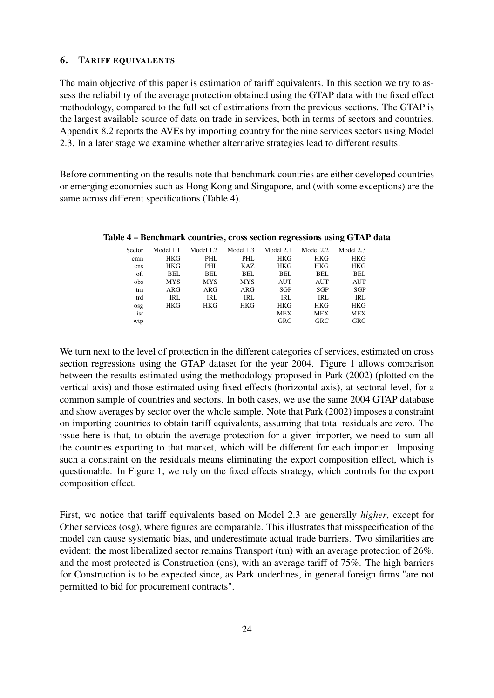#### <span id="page-23-0"></span>6. TARIFF EQUIVALENTS

The main objective of this paper is estimation of tariff equivalents. In this section we try to assess the reliability of the average protection obtained using the GTAP data with the fixed effect methodology, compared to the full set of estimations from the previous sections. The GTAP is the largest available source of data on trade in services, both in terms of sectors and countries. Appendix [8.2](#page-37-0) reports the AVEs by importing country for the nine services sectors using Model 2.3. In a later stage we examine whether alternative strategies lead to different results.

Before commenting on the results note that benchmark countries are either developed countries or emerging economies such as Hong Kong and Singapore, and (with some exceptions) are the same across different specifications (Table [4\)](#page-23-1).

| Sector | Model 1.1  | Model 1.2  | Model 1.3  | Model 2.1  | Model 2.2  | Model 2.3  |
|--------|------------|------------|------------|------------|------------|------------|
| cmn    | <b>HKG</b> | PHL        | PHL        | <b>HKG</b> | <b>HKG</b> | <b>HKG</b> |
| cns    | <b>HKG</b> | PHL        | KAZ        | <b>HKG</b> | <b>HKG</b> | <b>HKG</b> |
| ofi    | BEL        | <b>BEL</b> | <b>BEL</b> | BEL        | <b>BEL</b> | BEL        |
| obs    | <b>MYS</b> | <b>MYS</b> | <b>MYS</b> | <b>AUT</b> | AUT        | AUT        |
| trn    | ARG        | ARG        | ARG        | <b>SGP</b> | <b>SGP</b> | <b>SGP</b> |
| trd    | IRL        | <b>IRL</b> | <b>IRL</b> | <b>IRL</b> | <b>IRL</b> | <b>IRL</b> |
| osg    | <b>HKG</b> | HKG        | <b>HKG</b> | <b>HKG</b> | <b>HKG</b> | <b>HKG</b> |
| isr    |            |            |            | <b>MEX</b> | <b>MEX</b> | <b>MEX</b> |
| wtp    |            |            |            | <b>GRC</b> | <b>GRC</b> | <b>GRC</b> |

<span id="page-23-1"></span>Table 4 – Benchmark countries, cross section regressions using GTAP data

We turn next to the level of protection in the different categories of services, estimated on cross section regressions using the GTAP dataset for the year 2004. Figure [1](#page-24-0) allows comparison between the results estimated using the methodology proposed in [Park](#page-31-0) [\(2002\)](#page-31-0) (plotted on the vertical axis) and those estimated using fixed effects (horizontal axis), at sectoral level, for a common sample of countries and sectors. In both cases, we use the same 2004 GTAP database and show averages by sector over the whole sample. Note that [Park](#page-31-0) [\(2002\)](#page-31-0) imposes a constraint on importing countries to obtain tariff equivalents, assuming that total residuals are zero. The issue here is that, to obtain the average protection for a given importer, we need to sum all the countries exporting to that market, which will be different for each importer. Imposing such a constraint on the residuals means eliminating the export composition effect, which is questionable. In Figure [1,](#page-24-0) we rely on the fixed effects strategy, which controls for the export composition effect.

First, we notice that tariff equivalents based on Model 2.3 are generally *higher*, except for Other services (osg), where figures are comparable. This illustrates that misspecification of the model can cause systematic bias, and underestimate actual trade barriers. Two similarities are evident: the most liberalized sector remains Transport (trn) with an average protection of 26%, and the most protected is Construction (cns), with an average tariff of 75%. The high barriers for Construction is to be expected since, as Park underlines, in general foreign firms "are not permitted to bid for procurement contracts".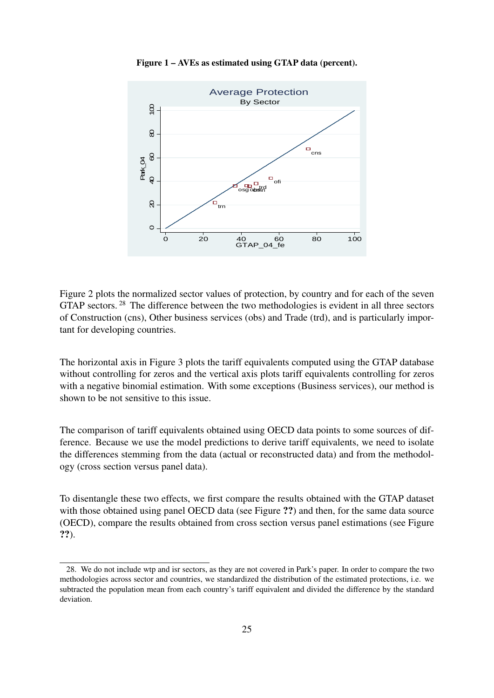<span id="page-24-0"></span>

Figure 1 – AVEs as estimated using GTAP data (percent).

Figure [2](#page-25-0) plots the normalized sector values of protection, by country and for each of the seven GTAP sectors.<sup>[28](#page-24-1)</sup> The difference between the two methodologies is evident in all three sectors of Construction (cns), Other business services (obs) and Trade (trd), and is particularly important for developing countries.

The horizontal axis in Figure [3](#page-27-0) plots the tariff equivalents computed using the GTAP database without controlling for zeros and the vertical axis plots tariff equivalents controlling for zeros with a negative binomial estimation. With some exceptions (Business services), our method is shown to be not sensitive to this issue.

The comparison of tariff equivalents obtained using OECD data points to some sources of difference. Because we use the model predictions to derive tariff equivalents, we need to isolate the differences stemming from the data (actual or reconstructed data) and from the methodology (cross section versus panel data).

To disentangle these two effects, we first compare the results obtained with the GTAP dataset with those obtained using panel OECD data (see Figure ??) and then, for the same data source (OECD), compare the results obtained from cross section versus panel estimations (see Figure ??).

<span id="page-24-1"></span><sup>28.</sup> We do not include wtp and isr sectors, as they are not covered in Park's paper. In order to compare the two methodologies across sector and countries, we standardized the distribution of the estimated protections, i.e. we subtracted the population mean from each country's tariff equivalent and divided the difference by the standard deviation.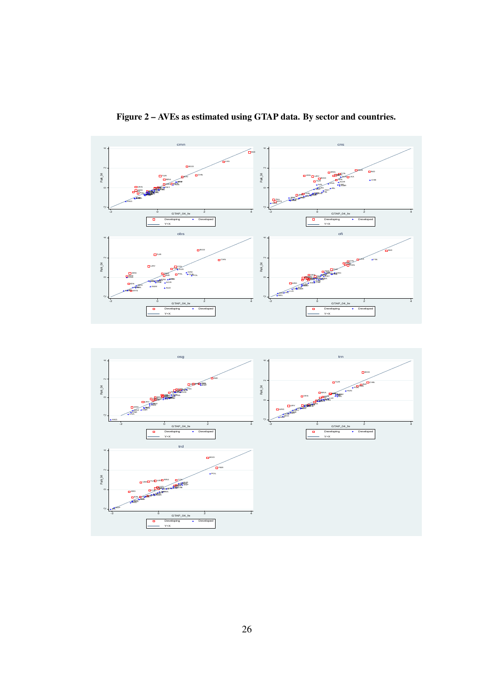<span id="page-25-0"></span>

Figure 2 – AVEs as estimated using GTAP data. By sector and countries.

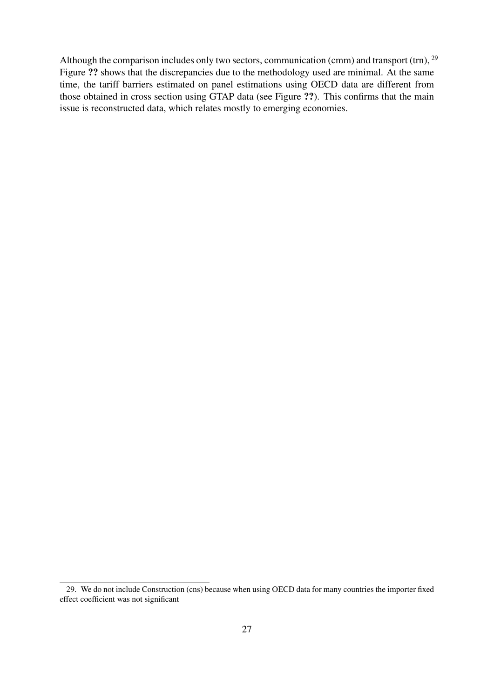Although the comparison includes only two sectors, communication (cmm) and transport (trn),  $^{29}$  $^{29}$  $^{29}$ Figure ?? shows that the discrepancies due to the methodology used are minimal. At the same time, the tariff barriers estimated on panel estimations using OECD data are different from those obtained in cross section using GTAP data (see Figure ??). This confirms that the main issue is reconstructed data, which relates mostly to emerging economies.

<span id="page-26-0"></span><sup>29.</sup> We do not include Construction (cns) because when using OECD data for many countries the importer fixed effect coefficient was not significant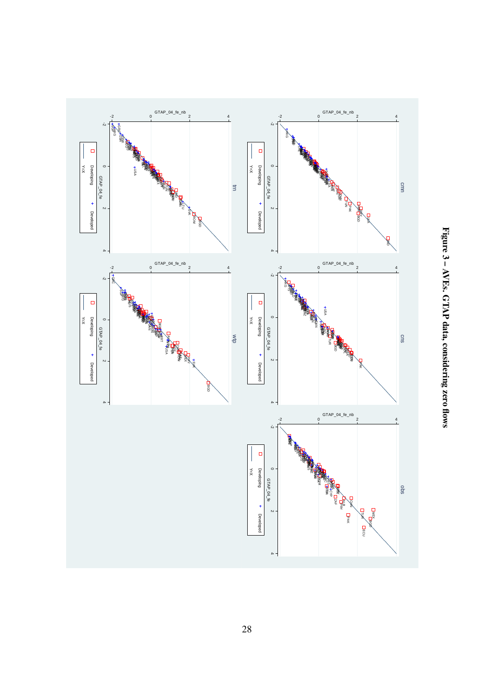<span id="page-27-0"></span>

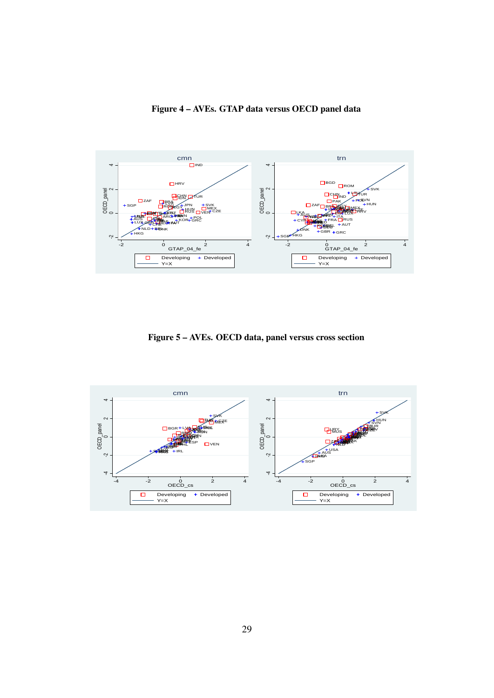

Figure 4 – AVEs. GTAP data versus OECD panel data

Figure 5 – AVEs. OECD data, panel versus cross section

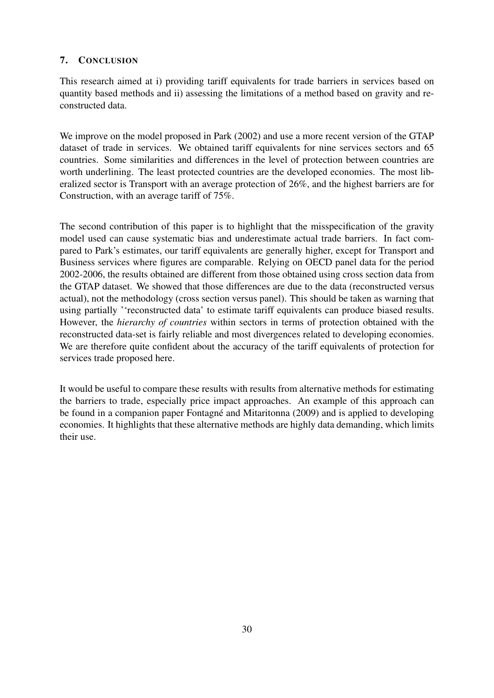#### <span id="page-29-0"></span>7. CONCLUSION

This research aimed at i) providing tariff equivalents for trade barriers in services based on quantity based methods and ii) assessing the limitations of a method based on gravity and reconstructed data.

We improve on the model proposed in [Park](#page-31-0) [\(2002\)](#page-31-0) and use a more recent version of the GTAP dataset of trade in services. We obtained tariff equivalents for nine services sectors and 65 countries. Some similarities and differences in the level of protection between countries are worth underlining. The least protected countries are the developed economies. The most liberalized sector is Transport with an average protection of 26%, and the highest barriers are for Construction, with an average tariff of 75%.

The second contribution of this paper is to highlight that the misspecification of the gravity model used can cause systematic bias and underestimate actual trade barriers. In fact compared to Park's estimates, our tariff equivalents are generally higher, except for Transport and Business services where figures are comparable. Relying on OECD panel data for the period 2002-2006, the results obtained are different from those obtained using cross section data from the GTAP dataset. We showed that those differences are due to the data (reconstructed versus actual), not the methodology (cross section versus panel). This should be taken as warning that using partially ''reconstructed data' to estimate tariff equivalents can produce biased results. However, the *hierarchy of countries* within sectors in terms of protection obtained with the reconstructed data-set is fairly reliable and most divergences related to developing economies. We are therefore quite confident about the accuracy of the tariff equivalents of protection for services trade proposed here.

It would be useful to compare these results with results from alternative methods for estimating the barriers to trade, especially price impact approaches. An example of this approach can be found in a companion paper [Fontagné and Mitaritonna](#page-30-6) [\(2009\)](#page-30-6) and is applied to developing economies. It highlights that these alternative methods are highly data demanding, which limits their use.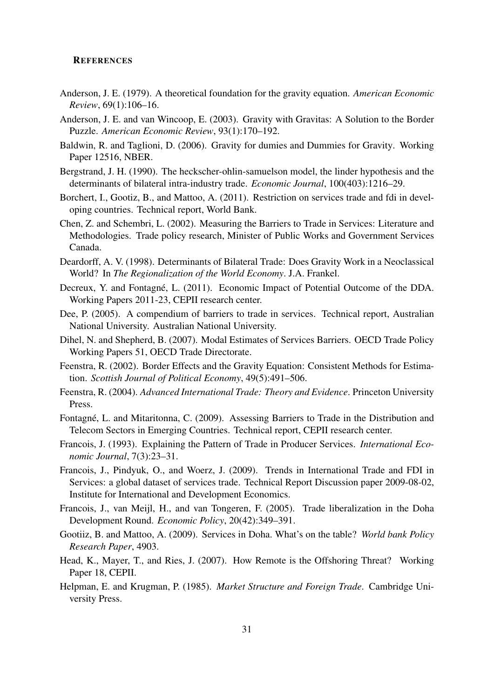#### **REFERENCES**

- <span id="page-30-12"></span><span id="page-30-0"></span>Anderson, J. E. (1979). A theoretical foundation for the gravity equation. *American Economic Review*, 69(1):106–16.
- <span id="page-30-10"></span>Anderson, J. E. and van Wincoop, E. (2003). Gravity with Gravitas: A Solution to the Border Puzzle. *American Economic Review*, 93(1):170–192.
- <span id="page-30-18"></span>Baldwin, R. and Taglioni, D. (2006). Gravity for dumies and Dummies for Gravity. Working Paper 12516, NBER.
- <span id="page-30-14"></span>Bergstrand, J. H. (1990). The heckscher-ohlin-samuelson model, the linder hypothesis and the determinants of bilateral intra-industry trade. *Economic Journal*, 100(403):1216–29.
- <span id="page-30-7"></span>Borchert, I., Gootiz, B., and Mattoo, A. (2011). Restriction on services trade and fdi in developing countries. Technical report, World Bank.
- <span id="page-30-8"></span>Chen, Z. and Schembri, L. (2002). Measuring the Barriers to Trade in Services: Literature and Methodologies. Trade policy research, Minister of Public Works and Government Services Canada.
- <span id="page-30-15"></span>Deardorff, A. V. (1998). Determinants of Bilateral Trade: Does Gravity Work in a Neoclassical World? In *The Regionalization of the World Economy*. J.A. Frankel.
- <span id="page-30-3"></span>Decreux, Y. and Fontagné, L. (2011). Economic Impact of Potential Outcome of the DDA. Working Papers 2011-23, CEPII research center.
- <span id="page-30-4"></span>Dee, P. (2005). A compendium of barriers to trade in services. Technical report, Australian National University. Australian National University.
- <span id="page-30-5"></span>Dihel, N. and Shepherd, B. (2007). Modal Estimates of Services Barriers. OECD Trade Policy Working Papers 51, OECD Trade Directorate.
- <span id="page-30-16"></span>Feenstra, R. (2002). Border Effects and the Gravity Equation: Consistent Methods for Estimation. *Scottish Journal of Political Economy*, 49(5):491–506.
- <span id="page-30-17"></span>Feenstra, R. (2004). *Advanced International Trade: Theory and Evidence*. Princeton University Press.
- <span id="page-30-6"></span>Fontagné, L. and Mitaritonna, C. (2009). Assessing Barriers to Trade in the Distribution and Telecom Sectors in Emerging Countries. Technical report, CEPII research center.
- <span id="page-30-11"></span>Francois, J. (1993). Explaining the Pattern of Trade in Producer Services. *International Economic Journal*, 7(3):23–31.
- <span id="page-30-1"></span>Francois, J., Pindyuk, O., and Woerz, J. (2009). Trends in International Trade and FDI in Services: a global dataset of services trade. Technical Report Discussion paper 2009-08-02, Institute for International and Development Economics.
- <span id="page-30-2"></span>Francois, J., van Meijl, H., and van Tongeren, F. (2005). Trade liberalization in the Doha Development Round. *Economic Policy*, 20(42):349–391.
- <span id="page-30-9"></span>Gootiiz, B. and Mattoo, A. (2009). Services in Doha. What's on the table? *World bank Policy Research Paper*, 4903.
- <span id="page-30-19"></span>Head, K., Mayer, T., and Ries, J. (2007). How Remote is the Offshoring Threat? Working Paper 18, CEPII.
- <span id="page-30-13"></span>Helpman, E. and Krugman, P. (1985). *Market Structure and Foreign Trade*. Cambridge University Press.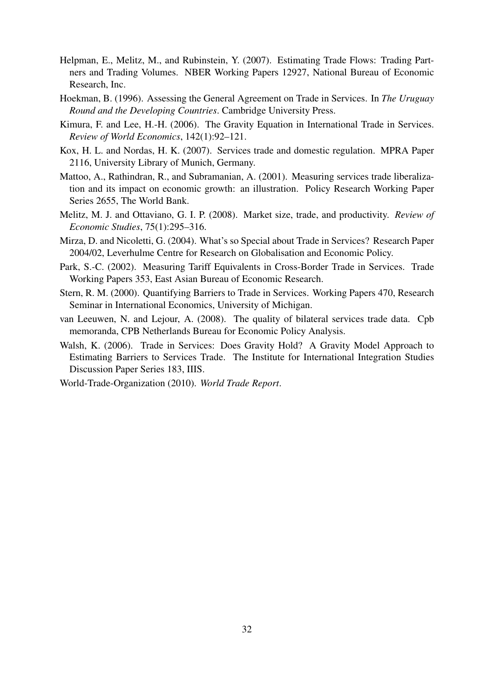- <span id="page-31-9"></span>Helpman, E., Melitz, M., and Rubinstein, Y. (2007). Estimating Trade Flows: Trading Partners and Trading Volumes. NBER Working Papers 12927, National Bureau of Economic Research, Inc.
- <span id="page-31-3"></span>Hoekman, B. (1996). Assessing the General Agreement on Trade in Services. In *The Uruguay Round and the Developing Countries*. Cambridge University Press.
- <span id="page-31-8"></span>Kimura, F. and Lee, H.-H. (2006). The Gravity Equation in International Trade in Services. *Review of World Economics*, 142(1):92–121.
- <span id="page-31-6"></span>Kox, H. L. and Nordas, H. K. (2007). Services trade and domestic regulation. MPRA Paper 2116, University Library of Munich, Germany.
- <span id="page-31-5"></span>Mattoo, A., Rathindran, R., and Subramanian, A. (2001). Measuring services trade liberalization and its impact on economic growth: an illustration. Policy Research Working Paper Series 2655, The World Bank.
- <span id="page-31-10"></span>Melitz, M. J. and Ottaviano, G. I. P. (2008). Market size, trade, and productivity. *Review of Economic Studies*, 75(1):295–316.
- <span id="page-31-7"></span>Mirza, D. and Nicoletti, G. (2004). What's so Special about Trade in Services? Research Paper 2004/02, Leverhulme Centre for Research on Globalisation and Economic Policy.
- <span id="page-31-0"></span>Park, S.-C. (2002). Measuring Tariff Equivalents in Cross-Border Trade in Services. Trade Working Papers 353, East Asian Bureau of Economic Research.
- <span id="page-31-4"></span>Stern, R. M. (2000). Quantifying Barriers to Trade in Services. Working Papers 470, Research Seminar in International Economics, University of Michigan.
- <span id="page-31-11"></span>van Leeuwen, N. and Lejour, A. (2008). The quality of bilateral services trade data. Cpb memoranda, CPB Netherlands Bureau for Economic Policy Analysis.
- <span id="page-31-2"></span>Walsh, K. (2006). Trade in Services: Does Gravity Hold? A Gravity Model Approach to Estimating Barriers to Services Trade. The Institute for International Integration Studies Discussion Paper Series 183, IIIS.
- <span id="page-31-1"></span>World-Trade-Organization (2010). *World Trade Report*.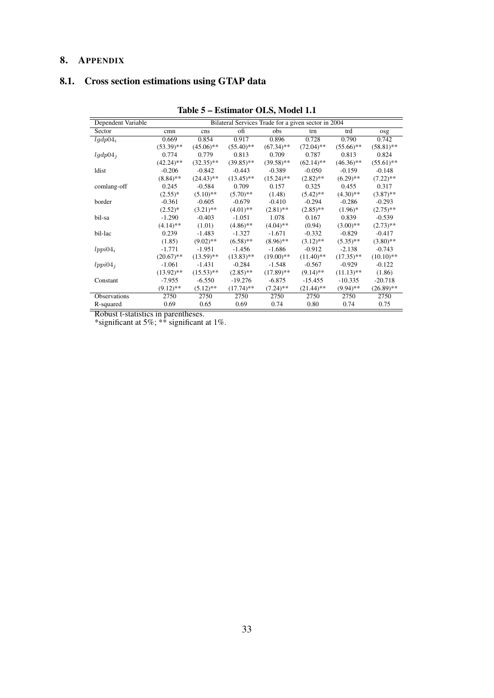### <span id="page-32-0"></span>8. APPENDIX

## <span id="page-32-2"></span><span id="page-32-1"></span>8.1. Cross section estimations using GTAP data

| Dependent Variable  |              |              | Bilateral Services Trade for a given sector in 2004 |              |              |              |              |
|---------------------|--------------|--------------|-----------------------------------------------------|--------------|--------------|--------------|--------------|
| Sector              | cmn          | cns          | ofi                                                 | obs          | trn          | trd          | osg          |
| $lgdp04_i$          | 0.669        | 0.854        | 0.917                                               | 0.896        | 0.728        | 0.790        | 0.742        |
|                     | $(53.39)$ ** | $(45.06)$ ** | $(55.40)$ **                                        | $(67.34)$ ** | $(72.04)$ ** | $(55.66)$ ** | $(58.81)$ ** |
| $lgdp04_i$          | 0.774        | 0.779        | 0.813                                               | 0.709        | 0.787        | 0.813        | 0.824        |
|                     | $(42.24)$ ** | $(32.35)$ ** | $(39.85)$ **                                        | $(39.58)$ ** | $(62.14)$ ** | $(46.36)$ ** | $(55.61)$ ** |
| ldist               | $-0.206$     | $-0.842$     | $-0.443$                                            | $-0.389$     | $-0.050$     | $-0.159$     | $-0.148$     |
|                     | $(8.84)$ **  | $(24.43)$ ** | $(13.45)$ **                                        | $(15.24)$ ** | $(2.82)$ **  | $(6.29)$ **  | $(7.22)$ **  |
| comlang-off         | 0.245        | $-0.584$     | 0.709                                               | 0.157        | 0.325        | 0.455        | 0.317        |
|                     | $(2.55)*$    | $(5.10)$ **  | $(5.70)$ **                                         | (1.48)       | $(5.42)$ **  | $(4.30)$ **  | $(3.87)$ **  |
| border              | $-0.361$     | $-0.605$     | $-0.679$                                            | $-0.410$     | $-0.294$     | $-0.286$     | $-0.293$     |
|                     | $(2.52)^{*}$ | $(3.21)$ **  | $(4.01)$ **                                         | $(2.81)$ **  | $(2.85)$ **  | $(1.96)^*$   | $(2.75)$ **  |
| bil-sa              | $-1.290$     | $-0.403$     | $-1.051$                                            | 1.078        | 0.167        | 0.839        | $-0.539$     |
|                     | $(4.14)$ **  | (1.01)       | $(4.86)$ **                                         | $(4.04)$ **  | (0.94)       | $(3.00)$ **  | $(2.73)$ **  |
| bil-lac             | 0.239        | $-1.483$     | $-1.327$                                            | $-1.671$     | $-0.332$     | $-0.829$     | $-0.417$     |
|                     | (1.85)       | $(9.02)$ **  | $(6.58)$ **                                         | $(8.96)$ **  | $(3.12)$ **  | $(5.35)$ **  | $(3.80)$ **  |
| $lppi04_i$          | $-1.771$     | $-1.951$     | $-1.456$                                            | $-1.686$     | $-0.912$     | $-2.138$     | $-0.743$     |
|                     | $(20.67)$ ** | $(13.59)$ ** | $(13.83)$ **                                        | $(19.00)$ ** | $(11.40)$ ** | $(17.35)$ ** | $(10.10)$ ** |
| $lppi04_i$          | $-1.061$     | $-1.431$     | $-0.284$                                            | $-1.548$     | $-0.567$     | $-0.929$     | $-0.122$     |
|                     | $(13.92)$ ** | $(15.53)$ ** | $(2.85)$ **                                         | $(17.89)$ ** | $(9.14)$ **  | $(11.13)$ ** | (1.86)       |
| Constant            | $-7.955$     | $-6.550$     | $-19.276$                                           | $-6.875$     | $-15.455$    | $-10.335$    | $-20.718$    |
|                     | $(9.12)$ **  | $(5.12)$ **  | $(17.74)$ **                                        | $(7.24)$ **  | $(21.44)$ ** | $(9.94)$ **  | $(26.89)$ ** |
| <b>Observations</b> | 2750         | 2750         | 2750                                                | 2750         | 2750         | 2750         | 2750         |
| R-squared           | 0.69         | 0.65         | 0.69                                                | 0.74         | 0.80         | 0.74         | 0.75         |

Table 5 – Estimator OLS, Model 1.1

Robust t-statistics in parentheses.

\*significant at 5%;  $**$  significant at 1%.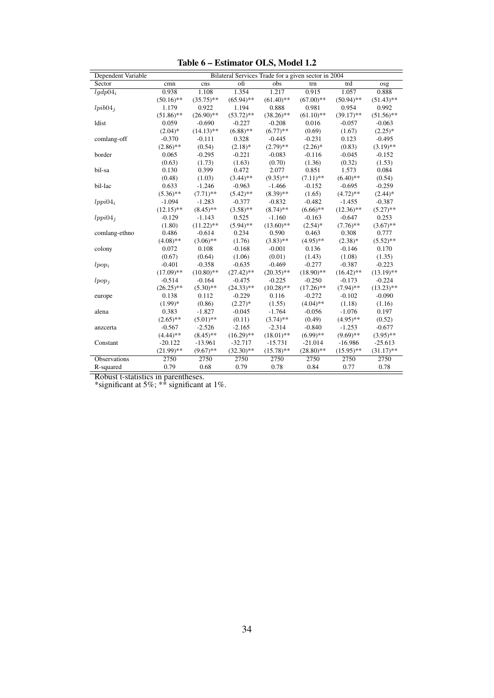| Dependent Variable  |              |              |              |              | Bilateral Services Trade for a given sector in 2004 |              |              |
|---------------------|--------------|--------------|--------------|--------------|-----------------------------------------------------|--------------|--------------|
| Sector              | cmn          | cns          | ofi          | obs          | trn                                                 | trd          | osg          |
| $lqdp04_i$          | 0.938        | 1.108        | 1.354        | 1.217        | 0.915                                               | 1.057        | 0.888        |
|                     | $(50.16)$ ** | $(35.75)$ ** | $(65.94)$ ** | $(61.40)$ ** | $(67.00)$ **                                        | $(50.94)$ ** | $(51.43)$ ** |
| $lpib04_i$          | 1.179        | 0.922        | 1.194        | 0.888        | 0.981                                               | 0.954        | 0.992        |
|                     | $(51.86)$ ** | $(26.90)$ ** | $(53.72)$ ** | $(38.26)$ ** | $(61.10)$ **                                        | $(39.17)$ ** | $(51.56)$ ** |
| ldist               | 0.059        | $-0.690$     | $-0.227$     | $-0.208$     | 0.016                                               | $-0.057$     | $-0.063$     |
|                     | $(2.04)*$    | $(14.13)$ ** | $(6.88)$ **  | $(6.77)$ **  | (0.69)                                              | (1.67)       | $(2.25)*$    |
| comlang-off         | $-0.370$     | $-0.111$     | 0.328        | $-0.445$     | $-0.231$                                            | 0.123        | $-0.495$     |
|                     | $(2.86)$ **  | (0.54)       | $(2.18)*$    | $(2.79)$ **  | $(2.26)$ *                                          | (0.83)       | $(3.19)$ **  |
| border              | 0.065        | $-0.295$     | $-0.221$     | $-0.083$     | $-0.116$                                            | $-0.045$     | $-0.152$     |
|                     | (0.63)       | (1.73)       | (1.63)       | (0.70)       | (1.36)                                              | (0.32)       | (1.53)       |
| bil-sa              | 0.130        | 0.399        | 0.472        | 2.077        | 0.851                                               | 1.573        | 0.084        |
|                     | (0.48)       | (1.03)       | $(3.44)$ **  | $(9.35)$ **  | $(7.11)$ **                                         | $(6.40)$ **  | (0.54)       |
| bil-lac             | 0.633        | $-1.246$     | $-0.963$     | $-1.466$     | $-0.152$                                            | $-0.695$     | $-0.259$     |
|                     | $(5.36)$ **  | $(7.71)$ **  | $(5.42)$ **  | $(8.39)$ **  | (1.65)                                              | $(4.72)$ **  | $(2.44)$ *   |
| $lppi04_i$          | $-1.094$     | $-1.283$     | $-0.377$     | $-0.832$     | $-0.482$                                            | $-1.455$     | $-0.387$     |
|                     | $(12.15)$ ** | $(8.45)$ **  | $(3.58)$ **  | $(8.74)$ **  | $(6.66)$ **                                         | $(12.36)$ ** | $(5.27)$ **  |
| $lppi04_i$          | $-0.129$     | $-1.143$     | 0.525        | $-1.160$     | $-0.163$                                            | $-0.647$     | 0.253        |
|                     | (1.80)       | $(11.22)$ ** | $(5.94)$ **  | $(13.60)$ ** | $(2.54)$ *                                          | $(7.76)$ **  | $(3.67)$ **  |
| comlang-ethno       | 0.486        | $-0.614$     | 0.234        | 0.590        | 0.463                                               | 0.308        | 0.777        |
|                     | $(4.08)$ **  | $(3.06)$ **  | (1.76)       | $(3.83)$ **  | $(4.95)$ **                                         | $(2.38)*$    | $(5.52)$ **  |
| colony              | 0.072        | 0.108        | $-0.168$     | $-0.001$     | 0.136                                               | $-0.146$     | 0.170        |
|                     | (0.67)       | (0.64)       | (1.06)       | (0.01)       | (1.43)                                              | (1.08)       | (1.35)       |
| $lpop_i$            | $-0.401$     | $-0.358$     | $-0.635$     | $-0.469$     | $-0.277$                                            | $-0.387$     | $-0.223$     |
|                     | $(17.09)$ ** | $(10.80)$ ** | $(27.42)$ ** | $(20.35)$ ** | $(18.90)$ **                                        | $(16.42)$ ** | $(13.19)$ ** |
| $lpop_i$            | $-0.514$     | $-0.164$     | $-0.475$     | $-0.225$     | $-0.250$                                            | $-0.173$     | $-0.224$     |
|                     | $(26.25)$ ** | $(5.30)$ **  | $(24.33)$ ** | $(10.28)$ ** | $(17.26)$ **                                        | $(7.94)$ **  | $(13.23)$ ** |
| europe              | 0.138        | 0.112        | $-0.229$     | 0.116        | $-0.272$                                            | $-0.102$     | $-0.090$     |
|                     | $(1.99)*$    | (0.86)       | $(2.27)*$    | (1.55)       | $(4.04)$ **                                         | (1.18)       | (1.16)       |
| alena               | 0.383        | $-1.827$     | $-0.045$     | $-1.764$     | $-0.056$                                            | $-1.076$     | 0.197        |
|                     | $(2.65)$ **  | $(5.01)$ **  | (0.11)       | $(3.74)$ **  | (0.49)                                              | $(4.95)$ **  | (0.52)       |
| anzcerta            | $-0.567$     | $-2.526$     | $-2.165$     | $-2.314$     | $-0.840$                                            | $-1.253$     | $-0.677$     |
|                     | $(4.44)$ **  | $(8.45)$ **  | $(16.29)$ ** | $(18.01)$ ** | $(6.99)$ **                                         | $(9.69)$ **  | $(3.95)$ **  |
| Constant            | $-20.122$    | $-13.961$    | $-32.717$    | $-15.731$    | $-21.014$                                           | $-16.986$    | $-25.613$    |
|                     | $(21.99)$ ** | $(9.67)$ **  | $(32.30)$ ** | $(15.78)$ ** | $(28.80)$ **                                        | $(15.95)$ ** | $(31.17)$ ** |
| <b>Observations</b> | 2750         | 2750         | 2750         | 2750         | 2750                                                | 2750         | 2750         |
| R-squared           | 0.79         | 0.68         | 0.79         | $0.78\,$     | 0.84                                                | 0.77         | 0.78         |

Table 6 – Estimator OLS, Model 1.2

Robust t-statistics in parentheses.

\*significant at 5%;  $**$  significant at 1%.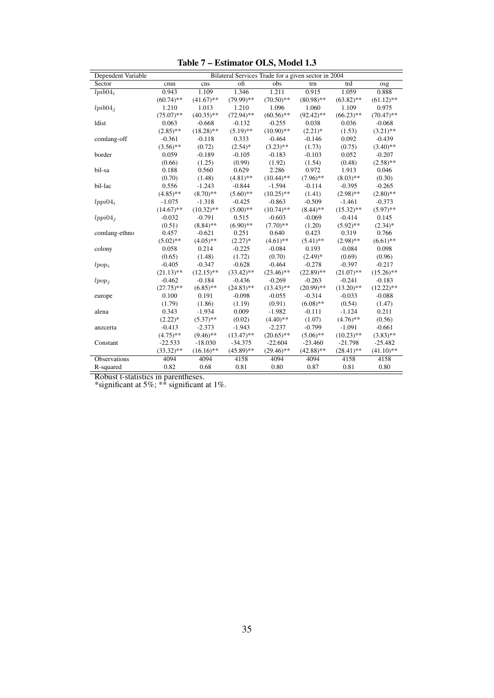| Dependent Variable |              |              | Bilateral Services Trade for a given sector in 2004 |              |              |              |              |
|--------------------|--------------|--------------|-----------------------------------------------------|--------------|--------------|--------------|--------------|
| Sector             | cmn          | cns          | ofi                                                 | obs          | trn          | trd          | osg          |
| $lpib04_i$         | 0.943        | 1.109        | 1.346                                               | 1.211        | 0.915        | 1.059        | 0.888        |
|                    | $(60.74)$ ** | $(41.67)$ ** | $(79.99)$ **                                        | $(70.50)$ ** | $(80.98)$ ** | $(63.82)$ ** | $(61.12)$ ** |
| $lpib04_i$         | 1.210        | 1.013        | 1.210                                               | 1.096        | 1.060        | 1.109        | 0.975        |
|                    | $(75.07)$ ** | $(40.35)$ ** | $(72.94)$ **                                        | $(60.56)$ ** | $(92.42)$ ** | $(66.23)$ ** | $(70.47)$ ** |
| ldist              | 0.063        | $-0.668$     | $-0.132$                                            | $-0.255$     | 0.038        | 0.036        | $-0.068$     |
|                    | $(2.85)$ **  | $(18.28)$ ** | $(5.19)$ **                                         | $(10.90)$ ** | $(2.21)^*$   | (1.53)       | $(3.21)$ **  |
| comlang-off        | $-0.361$     | $-0.118$     | 0.333                                               | $-0.464$     | $-0.146$     | 0.092        | $-0.439$     |
|                    | $(3.56)$ **  | (0.72)       | $(2.54)*$                                           | $(3.23)$ **  | (1.73)       | (0.75)       | $(3.40)$ **  |
| border             | 0.059        | $-0.189$     | $-0.105$                                            | $-0.183$     | $-0.103$     | 0.052        | $-0.207$     |
|                    | (0.66)       | (1.25)       | (0.99)                                              | (1.92)       | (1.54)       | (0.48)       | $(2.58)$ **  |
| bil-sa             | 0.188        | 0.560        | 0.629                                               | 2.286        | 0.972        | 1.913        | 0.046        |
|                    | (0.70)       | (1.48)       | $(4.81)$ **                                         | $(10.44)$ ** | $(7.96)$ **  | $(8.03)$ **  | (0.30)       |
| bil-lac            | 0.556        | $-1.243$     | $-0.844$                                            | $-1.594$     | $-0.114$     | $-0.395$     | $-0.265$     |
|                    | $(4.85)$ **  | $(8.70)$ **  | $(5.60)$ **                                         | $(10.25)$ ** | (1.41)       | $(2.98)$ **  | $(2.80)$ **  |
| $lppi04_i$         | $-1.075$     | $-1.318$     | $-0.425$                                            | $-0.863$     | $-0.509$     | $-1.461$     | $-0.373$     |
|                    | $(14.67)$ ** | $(10.32)$ ** | $(5.00)$ **                                         | $(10.74)$ ** | $(8.44)$ **  | $(15.32)$ ** | $(5.97)$ **  |
| $lppi04_i$         | $-0.032$     | $-0.791$     | 0.515                                               | $-0.603$     | $-0.069$     | $-0.414$     | 0.145        |
|                    | (0.51)       | $(8.84)$ **  | $(6.90)$ **                                         | $(7.70)$ **  | (1.20)       | $(5.92)$ **  | $(2.34)$ *   |
| comlang-ethno      | 0.457        | $-0.621$     | 0.251                                               | 0.640        | 0.423        | 0.319        | 0.766        |
|                    | $(5.02)$ **  | $(4.05)$ **  | $(2.27)$ *                                          | $(4.61)$ **  | $(5.41)$ **  | $(2.98)$ **  | $(6.61)$ **  |
| colony             | 0.058        | 0.214        | $-0.225$                                            | $-0.084$     | 0.193        | $-0.084$     | 0.098        |
|                    | (0.65)       | (1.48)       | (1.72)                                              | (0.70)       | $(2.49)$ *   | (0.69)       | (0.96)       |
| $lpop_i$           | $-0.405$     | $-0.347$     | $-0.628$                                            | $-0.464$     | $-0.278$     | $-0.397$     | $-0.217$     |
|                    | $(21.13)$ ** | $(12.15)$ ** | $(33.42)$ **                                        | $(23.46)$ ** | $(22.89)$ ** | $(21.07)$ ** | $(15.26)$ ** |
| $lpop_i$           | $-0.462$     | $-0.184$     | $-0.436$                                            | $-0.269$     | $-0.263$     | $-0.241$     | $-0.183$     |
|                    | $(27.75)$ ** | $(6.85)$ **  | $(24.83)$ **                                        | $(13.43)$ ** | $(20.99)$ ** | $(13.20)$ ** | $(12.22)$ ** |
| europe             | 0.100        | 0.191        | $-0.098$                                            | $-0.055$     | $-0.314$     | $-0.033$     | $-0.088$     |
|                    | (1.79)       | (1.86)       | (1.19)                                              | (0.91)       | $(6.08)$ **  | (0.54)       | (1.47)       |
| alena              | 0.343        | $-1.934$     | 0.009                                               | $-1.982$     | $-0.111$     | $-1.124$     | 0.211        |
|                    | $(2.22)*$    | $(5.37)$ **  | (0.02)                                              | $(4.40)$ **  | (1.07)       | $(4.76)$ **  | (0.56)       |
| anzcerta           | $-0.413$     | $-2.373$     | $-1.943$                                            | $-2.237$     | $-0.799$     | $-1.091$     | $-0.661$     |
|                    | $(4.75)$ **  | $(9.46)$ **  | $(13.47)$ **                                        | $(20.65)$ ** | $(5.06)$ **  | $(10.23)$ ** | $(3.83)$ **  |
| Constant           | $-22.533$    | $-18.030$    | $-34.375$                                           | $-22.604$    | $-23.460$    | $-21.798$    | $-25.482$    |
|                    | $(33.32)$ ** | $(16.16)$ ** | $(45.89)$ **                                        | $(29.46)$ ** | $(42.88)$ ** | $(28.41)$ ** | $(41.10)$ ** |
| Observations       | 4094         | 4094         | 4158                                                | 4094         | 4094         | 4158         | 4158         |
| R-squared          | 0.82         | 0.68         | 0.81                                                | 0.80         | 0.87         | 0.81         | 0.80         |

Table 7 – Estimator OLS, Model 1.3

Robust t-statistics in parentheses.

\*significant at 5%;  $**$  significant at 1%.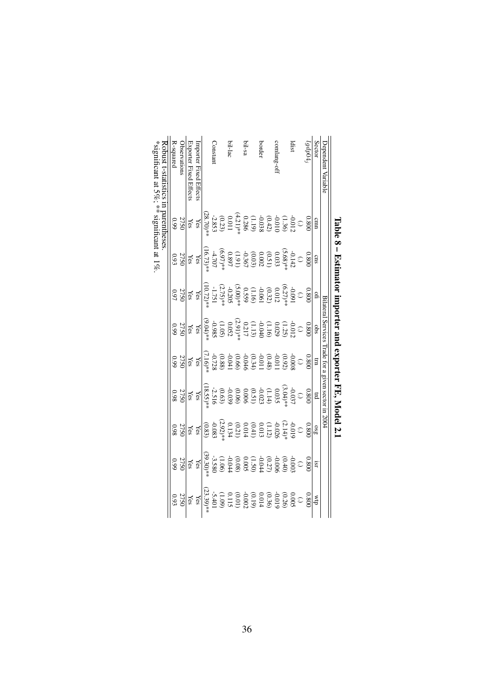|                                   |                                                                                                                       | Laple 8 - Eximator inporter and exporter FE, Nodel 2.1                                                                                                                                                                                                                                                          |                                                                                                        |                                                                                                                                                                                 |                                                                                                                                                                                                                                                                                              |                                                                                                                                                                                                                                                                                                                                  |                                                                                                                                                                                                                                                                                                                     |                    |                                                                                                                                                                                                                                                                                                              |
|-----------------------------------|-----------------------------------------------------------------------------------------------------------------------|-----------------------------------------------------------------------------------------------------------------------------------------------------------------------------------------------------------------------------------------------------------------------------------------------------------------|--------------------------------------------------------------------------------------------------------|---------------------------------------------------------------------------------------------------------------------------------------------------------------------------------|----------------------------------------------------------------------------------------------------------------------------------------------------------------------------------------------------------------------------------------------------------------------------------------------|----------------------------------------------------------------------------------------------------------------------------------------------------------------------------------------------------------------------------------------------------------------------------------------------------------------------------------|---------------------------------------------------------------------------------------------------------------------------------------------------------------------------------------------------------------------------------------------------------------------------------------------------------------------|--------------------|--------------------------------------------------------------------------------------------------------------------------------------------------------------------------------------------------------------------------------------------------------------------------------------------------------------|
| <b>Dependent Variable</b>         |                                                                                                                       |                                                                                                                                                                                                                                                                                                                 |                                                                                                        |                                                                                                                                                                                 |                                                                                                                                                                                                                                                                                              | Bilateral Services Trade for a given sector in 2004                                                                                                                                                                                                                                                                              |                                                                                                                                                                                                                                                                                                                     |                    |                                                                                                                                                                                                                                                                                                              |
| Sector                            | cmn                                                                                                                   | $\cos$                                                                                                                                                                                                                                                                                                          | $\overline{\mathbf{H}}$                                                                                | sqo                                                                                                                                                                             | $\Xi$                                                                                                                                                                                                                                                                                        | $_{\rm H}$                                                                                                                                                                                                                                                                                                                       |                                                                                                                                                                                                                                                                                                                     | ISI.               | ₫M                                                                                                                                                                                                                                                                                                           |
| $19 d \bar{p}$                    |                                                                                                                       |                                                                                                                                                                                                                                                                                                                 | 0.800                                                                                                  | 0.800                                                                                                                                                                           | 0.800                                                                                                                                                                                                                                                                                        | 0.800                                                                                                                                                                                                                                                                                                                            | $rac{1080}{380}$                                                                                                                                                                                                                                                                                                    | 0.800              | 0.800                                                                                                                                                                                                                                                                                                        |
|                                   |                                                                                                                       |                                                                                                                                                                                                                                                                                                                 |                                                                                                        |                                                                                                                                                                                 |                                                                                                                                                                                                                                                                                              | $\odot$                                                                                                                                                                                                                                                                                                                          |                                                                                                                                                                                                                                                                                                                     |                    |                                                                                                                                                                                                                                                                                                              |
| ldist                             |                                                                                                                       |                                                                                                                                                                                                                                                                                                                 |                                                                                                        |                                                                                                                                                                                 |                                                                                                                                                                                                                                                                                              |                                                                                                                                                                                                                                                                                                                                  |                                                                                                                                                                                                                                                                                                                     |                    |                                                                                                                                                                                                                                                                                                              |
|                                   |                                                                                                                       |                                                                                                                                                                                                                                                                                                                 |                                                                                                        |                                                                                                                                                                                 |                                                                                                                                                                                                                                                                                              |                                                                                                                                                                                                                                                                                                                                  |                                                                                                                                                                                                                                                                                                                     |                    |                                                                                                                                                                                                                                                                                                              |
| comlang-of                        |                                                                                                                       |                                                                                                                                                                                                                                                                                                                 |                                                                                                        |                                                                                                                                                                                 |                                                                                                                                                                                                                                                                                              |                                                                                                                                                                                                                                                                                                                                  |                                                                                                                                                                                                                                                                                                                     |                    |                                                                                                                                                                                                                                                                                                              |
|                                   |                                                                                                                       |                                                                                                                                                                                                                                                                                                                 |                                                                                                        |                                                                                                                                                                                 |                                                                                                                                                                                                                                                                                              |                                                                                                                                                                                                                                                                                                                                  |                                                                                                                                                                                                                                                                                                                     |                    |                                                                                                                                                                                                                                                                                                              |
| border                            |                                                                                                                       |                                                                                                                                                                                                                                                                                                                 |                                                                                                        |                                                                                                                                                                                 |                                                                                                                                                                                                                                                                                              |                                                                                                                                                                                                                                                                                                                                  |                                                                                                                                                                                                                                                                                                                     |                    |                                                                                                                                                                                                                                                                                                              |
|                                   |                                                                                                                       |                                                                                                                                                                                                                                                                                                                 |                                                                                                        |                                                                                                                                                                                 |                                                                                                                                                                                                                                                                                              |                                                                                                                                                                                                                                                                                                                                  |                                                                                                                                                                                                                                                                                                                     |                    |                                                                                                                                                                                                                                                                                                              |
| bil-sa                            |                                                                                                                       |                                                                                                                                                                                                                                                                                                                 |                                                                                                        |                                                                                                                                                                                 |                                                                                                                                                                                                                                                                                              |                                                                                                                                                                                                                                                                                                                                  |                                                                                                                                                                                                                                                                                                                     |                    |                                                                                                                                                                                                                                                                                                              |
|                                   |                                                                                                                       |                                                                                                                                                                                                                                                                                                                 |                                                                                                        |                                                                                                                                                                                 |                                                                                                                                                                                                                                                                                              |                                                                                                                                                                                                                                                                                                                                  |                                                                                                                                                                                                                                                                                                                     |                    |                                                                                                                                                                                                                                                                                                              |
| bil-lac                           |                                                                                                                       |                                                                                                                                                                                                                                                                                                                 |                                                                                                        |                                                                                                                                                                                 |                                                                                                                                                                                                                                                                                              |                                                                                                                                                                                                                                                                                                                                  |                                                                                                                                                                                                                                                                                                                     |                    |                                                                                                                                                                                                                                                                                                              |
|                                   | 0.800<br>(-1.0.3.6)<br>(-1.0.3.9)<br>(-1.2.9)<br>(-1.2.9)<br>(-1.2.9)<br>(-1.0.2.9)<br>(-1.0.2.9)<br>28.70)<br>28.70) | $\begin{array}{l} 0.800 \\[-2pt] 0.333 \\[-2pt] 0.0033 \\[-2pt] 0.0032 \\[-2pt] 0.002 \\[-2pt] 0.0033 \\[-2pt] 0.002 \\[-2pt] 0.0033 \\[-2pt] 0.002 \\[-2pt] 0.002 \\[-2pt] 0.002 \\[-2pt] 0.002 \\[-2pt] 0.0033 \\[-2pt] 0.0033 \\[-2pt] 0.0033 \\[-2pt] 0.0033 \\[-2pt] 0.0033 \\[-2pt] 0.0033 \\[-2pt] 0.00$ | $\begin{array}{l} 0.091\\0.091\\0.012\\0.0322\\0.050\\0.0322\\0.050\\0.050\\0.0775\\0.0775\end{array}$ | $\begin{array}{l} 0.012\\[-4pt] 0.022\\[-4pt] 0.022\\[-4pt] 0.022\\[-4pt] 0.052\\[-4pt] 0.052\\[-4pt] 0.052\\[-4pt] 0.052\\[-4pt] 0.052\\[-4pt] 0.053\\[-4pt] 0.054\end{array}$ | $\begin{array}{l} -0.0080\\ -0.0020\\ -0.0118\\ -0.0001\\ -0.0001\\ -0.0000\\ -0.0000\\ -0.0000\\ -0.0000\\ -0.0000\\ -0.0000\\ -0.0000\\ -0.0000\\ -0.0000\\ -0.0000\\ -0.0000\\ -0.0000\\ -0.0000\\ -0.0000\\ -0.0000\\ -0.0000\\ -0.0000\\ -0.0000\\ -0.0000\\ -0.0000\\ -0.0000\\ -0.00$ | $\begin{array}{c} -0.037 \\ 0.035 \\ 0.035 \\ -0.022 \\ -0.026 \\ -0.09 \\ -2.516 \\ -0.039 \\ -0.039 \\ -0.039 \\ -0.039 \\ -0.039 \\ -0.039 \\ -0.039 \\ -0.039 \\ -0.039 \\ -0.039 \\ -0.039 \\ -0.039 \\ -0.039 \\ -0.039 \\ -0.039 \\ -0.039 \\ -0.039 \\ -0.039 \\ -0.039 \\ -0.039 \\ -0.039 \\ -0.039 \\ -0.039 \\ -0.0$ | $\begin{array}{l} 0.019 \\[-4pt] 0.019 \\[-4pt] 0.012 \\[-4pt] 0.012 \\[-4pt] 0.013 \\[-4pt] 0.013 \\[-4pt] 0.020 \\[-4pt] 0.083 \\[-4pt] 0.083 \\[-4pt] 0.083 \\[-4pt] 0.083 \\[-4pt] 0.083 \\[-4pt] 0.083 \\[-4pt] 0.083 \\[-4pt] 0.083 \\[-4pt] 0.083 \\[-4pt] 0.083 \\[-4pt] 0.083 \\[-4pt] 0.083 \\[-4pt] 0.0$ |                    | $\begin{array}{c} 0.0005 \\ 0.0005 \\ 0.0005 \\ 0.0005 \\ -0.00005 \\ -0.00005 \\ -0.00005 \\ -0.00005 \\ -0.00005 \\ -0.00005 \\ -0.00005 \\ -0.00005 \\ -0.00005 \\ -0.00005 \\ -0.00005 \\ -0.00005 \\ -0.00005 \\ -0.00005 \\ -0.00005 \\ -0.00005 \\ -0.00005 \\ -0.00005 \\ -0.00005 \\ -0.00005 \\ -$ |
| Constan                           |                                                                                                                       |                                                                                                                                                                                                                                                                                                                 |                                                                                                        |                                                                                                                                                                                 |                                                                                                                                                                                                                                                                                              |                                                                                                                                                                                                                                                                                                                                  |                                                                                                                                                                                                                                                                                                                     |                    |                                                                                                                                                                                                                                                                                                              |
|                                   |                                                                                                                       |                                                                                                                                                                                                                                                                                                                 |                                                                                                        |                                                                                                                                                                                 |                                                                                                                                                                                                                                                                                              |                                                                                                                                                                                                                                                                                                                                  |                                                                                                                                                                                                                                                                                                                     |                    |                                                                                                                                                                                                                                                                                                              |
| Importer Fixed Effects            |                                                                                                                       |                                                                                                                                                                                                                                                                                                                 | ${\rm Yes}$                                                                                            |                                                                                                                                                                                 |                                                                                                                                                                                                                                                                                              | $\rm Yes$                                                                                                                                                                                                                                                                                                                        |                                                                                                                                                                                                                                                                                                                     |                    | Yes                                                                                                                                                                                                                                                                                                          |
| Exporter Fixed Effects            | ${\rm Yes}$                                                                                                           |                                                                                                                                                                                                                                                                                                                 |                                                                                                        |                                                                                                                                                                                 |                                                                                                                                                                                                                                                                                              |                                                                                                                                                                                                                                                                                                                                  |                                                                                                                                                                                                                                                                                                                     |                    | Yes                                                                                                                                                                                                                                                                                                          |
| <b>Jbservations</b>               | 2750<br>0.99                                                                                                          | $\frac{1888}{203}$                                                                                                                                                                                                                                                                                              | 275C<br>0.97                                                                                           | $\frac{168}{2750}$                                                                                                                                                              | $\frac{\text{Yes}}{2750}$                                                                                                                                                                                                                                                                    | 275C<br>0.98                                                                                                                                                                                                                                                                                                                     | $\frac{\text{Yes}}{2750}$                                                                                                                                                                                                                                                                                           | $\frac{188}{2750}$ |                                                                                                                                                                                                                                                                                                              |
| <b>R-squared</b>                  |                                                                                                                       |                                                                                                                                                                                                                                                                                                                 |                                                                                                        |                                                                                                                                                                                 |                                                                                                                                                                                                                                                                                              |                                                                                                                                                                                                                                                                                                                                  |                                                                                                                                                                                                                                                                                                                     |                    | 2750<br>0.93                                                                                                                                                                                                                                                                                                 |
| coust t-statistics in parentheses |                                                                                                                       |                                                                                                                                                                                                                                                                                                                 |                                                                                                        |                                                                                                                                                                                 |                                                                                                                                                                                                                                                                                              |                                                                                                                                                                                                                                                                                                                                  |                                                                                                                                                                                                                                                                                                                     |                    |                                                                                                                                                                                                                                                                                                              |
|                                   |                                                                                                                       |                                                                                                                                                                                                                                                                                                                 |                                                                                                        |                                                                                                                                                                                 |                                                                                                                                                                                                                                                                                              |                                                                                                                                                                                                                                                                                                                                  |                                                                                                                                                                                                                                                                                                                     |                    |                                                                                                                                                                                                                                                                                                              |

\*significant at  $5\%$ ; \*\* significant at 1%. \*significant at  $5\%$ ; \*\* significant at 1%.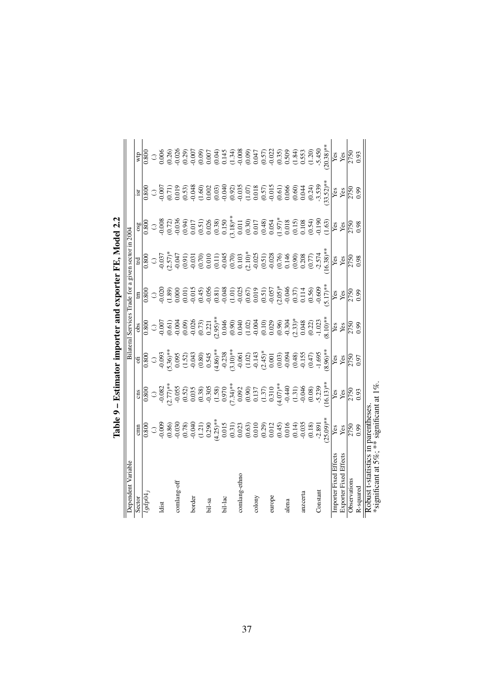|                                                                                |              |                                                                                                                                                                                                                                                                                                                                                                                                                                                               |                                                                                                                                                                                                                                                                                                                                   |              |                                                                                                                                                                                                                                                                                       | Table 9 – Estimator importer and exporter FE, Model 2.2 |              |                          |               |
|--------------------------------------------------------------------------------|--------------|---------------------------------------------------------------------------------------------------------------------------------------------------------------------------------------------------------------------------------------------------------------------------------------------------------------------------------------------------------------------------------------------------------------------------------------------------------------|-----------------------------------------------------------------------------------------------------------------------------------------------------------------------------------------------------------------------------------------------------------------------------------------------------------------------------------|--------------|---------------------------------------------------------------------------------------------------------------------------------------------------------------------------------------------------------------------------------------------------------------------------------------|---------------------------------------------------------|--------------|--------------------------|---------------|
| Dependent Variable                                                             |              |                                                                                                                                                                                                                                                                                                                                                                                                                                                               |                                                                                                                                                                                                                                                                                                                                   |              |                                                                                                                                                                                                                                                                                       | Bilateral Services Trade for a given sector in 2004     |              |                          |               |
| Sector                                                                         |              |                                                                                                                                                                                                                                                                                                                                                                                                                                                               |                                                                                                                                                                                                                                                                                                                                   |              |                                                                                                                                                                                                                                                                                       |                                                         |              |                          |               |
| logdp04                                                                        |              | $\begin{array}{l} \text{g} \\ \text{m} \\ \text{m} \\ \text{m} \\ \text{m} \\ \text{m} \\ \text{m} \\ \text{m} \\ \text{m} \\ \text{m} \\ \text{m} \\ \text{m} \\ \text{m} \\ \text{m} \\ \text{m} \\ \text{m} \\ \text{m} \\ \text{m} \\ \text{m} \\ \text{m} \\ \text{m} \\ \text{m} \\ \text{m} \\ \text{m} \\ \text{m} \\ \text{m} \\ \text{m} \\ \text{m} \\ \text{m} \\ \text{m} \\ \text{m} \\ \text{m} \\ \text{m} \\ \text{m} \\ \text{m} \\ \text{$ | $\frac{66}{0.800}$                                                                                                                                                                                                                                                                                                                |              | $\begin{array}{r} \mathbb{E}\left[ \begin{array}{ccccc} 0.800 & 0.800 & 0.0000 & 0.0000 & 0.0000 & 0.0000 & 0.0000 & 0.0000 & 0.0000 & 0.0000 & 0.0000 & 0.0000 & 0.0000 & 0.0000 & 0.0000 & 0.0000 & 0.0000 & 0.0000 & 0.0000 & 0.0000 & 0.0000 & 0.0000 & 0.0000 & 0.0000 & 0.0000$ |                                                         |              | $rac{\text{isr}}{1.800}$ | $rac{1}{800}$ |
|                                                                                |              |                                                                                                                                                                                                                                                                                                                                                                                                                                                               |                                                                                                                                                                                                                                                                                                                                   |              |                                                                                                                                                                                                                                                                                       |                                                         |              |                          |               |
| ldist                                                                          |              |                                                                                                                                                                                                                                                                                                                                                                                                                                                               |                                                                                                                                                                                                                                                                                                                                   |              |                                                                                                                                                                                                                                                                                       |                                                         |              |                          |               |
|                                                                                |              |                                                                                                                                                                                                                                                                                                                                                                                                                                                               |                                                                                                                                                                                                                                                                                                                                   |              |                                                                                                                                                                                                                                                                                       |                                                         |              |                          |               |
| comlang-off                                                                    |              |                                                                                                                                                                                                                                                                                                                                                                                                                                                               |                                                                                                                                                                                                                                                                                                                                   |              |                                                                                                                                                                                                                                                                                       |                                                         |              |                          |               |
|                                                                                |              |                                                                                                                                                                                                                                                                                                                                                                                                                                                               |                                                                                                                                                                                                                                                                                                                                   |              |                                                                                                                                                                                                                                                                                       |                                                         |              |                          |               |
| border                                                                         |              |                                                                                                                                                                                                                                                                                                                                                                                                                                                               |                                                                                                                                                                                                                                                                                                                                   |              |                                                                                                                                                                                                                                                                                       |                                                         |              |                          |               |
|                                                                                |              |                                                                                                                                                                                                                                                                                                                                                                                                                                                               |                                                                                                                                                                                                                                                                                                                                   |              |                                                                                                                                                                                                                                                                                       |                                                         |              |                          |               |
| bil-sa                                                                         |              |                                                                                                                                                                                                                                                                                                                                                                                                                                                               |                                                                                                                                                                                                                                                                                                                                   |              |                                                                                                                                                                                                                                                                                       |                                                         |              |                          |               |
|                                                                                |              |                                                                                                                                                                                                                                                                                                                                                                                                                                                               |                                                                                                                                                                                                                                                                                                                                   |              |                                                                                                                                                                                                                                                                                       |                                                         |              |                          |               |
| bil-lac                                                                        |              |                                                                                                                                                                                                                                                                                                                                                                                                                                                               |                                                                                                                                                                                                                                                                                                                                   |              |                                                                                                                                                                                                                                                                                       |                                                         |              |                          |               |
|                                                                                |              |                                                                                                                                                                                                                                                                                                                                                                                                                                                               |                                                                                                                                                                                                                                                                                                                                   |              |                                                                                                                                                                                                                                                                                       |                                                         |              |                          |               |
| comlang-ethno                                                                  |              |                                                                                                                                                                                                                                                                                                                                                                                                                                                               |                                                                                                                                                                                                                                                                                                                                   |              |                                                                                                                                                                                                                                                                                       |                                                         |              |                          |               |
|                                                                                |              |                                                                                                                                                                                                                                                                                                                                                                                                                                                               |                                                                                                                                                                                                                                                                                                                                   |              |                                                                                                                                                                                                                                                                                       |                                                         |              |                          |               |
| colony                                                                         |              |                                                                                                                                                                                                                                                                                                                                                                                                                                                               |                                                                                                                                                                                                                                                                                                                                   |              |                                                                                                                                                                                                                                                                                       |                                                         |              |                          |               |
|                                                                                |              |                                                                                                                                                                                                                                                                                                                                                                                                                                                               |                                                                                                                                                                                                                                                                                                                                   |              |                                                                                                                                                                                                                                                                                       |                                                         |              |                          |               |
| europe                                                                         |              |                                                                                                                                                                                                                                                                                                                                                                                                                                                               |                                                                                                                                                                                                                                                                                                                                   |              |                                                                                                                                                                                                                                                                                       |                                                         |              |                          |               |
|                                                                                |              |                                                                                                                                                                                                                                                                                                                                                                                                                                                               |                                                                                                                                                                                                                                                                                                                                   |              |                                                                                                                                                                                                                                                                                       |                                                         |              |                          |               |
| alena                                                                          |              |                                                                                                                                                                                                                                                                                                                                                                                                                                                               |                                                                                                                                                                                                                                                                                                                                   |              |                                                                                                                                                                                                                                                                                       |                                                         |              |                          |               |
|                                                                                |              |                                                                                                                                                                                                                                                                                                                                                                                                                                                               |                                                                                                                                                                                                                                                                                                                                   |              |                                                                                                                                                                                                                                                                                       |                                                         |              |                          |               |
| anzcerta                                                                       |              |                                                                                                                                                                                                                                                                                                                                                                                                                                                               |                                                                                                                                                                                                                                                                                                                                   |              |                                                                                                                                                                                                                                                                                       |                                                         |              |                          |               |
|                                                                                |              |                                                                                                                                                                                                                                                                                                                                                                                                                                                               |                                                                                                                                                                                                                                                                                                                                   |              |                                                                                                                                                                                                                                                                                       |                                                         |              |                          |               |
| Constant                                                                       |              |                                                                                                                                                                                                                                                                                                                                                                                                                                                               |                                                                                                                                                                                                                                                                                                                                   |              |                                                                                                                                                                                                                                                                                       |                                                         |              |                          |               |
|                                                                                |              |                                                                                                                                                                                                                                                                                                                                                                                                                                                               | $\begin{array}{c} 0.093 \\ -9.095 \\ -0.095 \\ -0.095 \\ -0.095 \\ -0.095 \\ -0.095 \\ -0.095 \\ -0.095 \\ -0.095 \\ -0.095 \\ -0.095 \\ -0.095 \\ -0.095 \\ -0.095 \\ -0.095 \\ -0.095 \\ -0.095 \\ -0.095 \\ -0.095 \\ -0.095 \\ -0.095 \\ -0.095 \\ -0.095 \\ -0.095 \\ -0.095 \\ -0.095 \\ -0.095 \\ -0.095 \\ -0.095 \\ -0.$ |              |                                                                                                                                                                                                                                                                                       |                                                         |              |                          |               |
| Importer Fixed Effects                                                         | Yes          |                                                                                                                                                                                                                                                                                                                                                                                                                                                               |                                                                                                                                                                                                                                                                                                                                   |              | Yes<br>Yes                                                                                                                                                                                                                                                                            |                                                         |              |                          | Yes<br>Yes    |
| <b>Exporter Fixed Effects</b>                                                  | Yes          |                                                                                                                                                                                                                                                                                                                                                                                                                                                               |                                                                                                                                                                                                                                                                                                                                   | Yes          |                                                                                                                                                                                                                                                                                       | Yes                                                     |              | Yes                      |               |
| Observations                                                                   | 2750<br>0.99 | 2750<br>0.93                                                                                                                                                                                                                                                                                                                                                                                                                                                  | 2750<br>0.97                                                                                                                                                                                                                                                                                                                      | 2750<br>0.99 | 2750<br>0.99                                                                                                                                                                                                                                                                          | 2750<br>0.98                                            | 2750<br>0.98 | 2750<br>0.99             | 2750<br>0.93  |
| R-squared                                                                      |              |                                                                                                                                                                                                                                                                                                                                                                                                                                                               |                                                                                                                                                                                                                                                                                                                                   |              |                                                                                                                                                                                                                                                                                       |                                                         |              |                          |               |
| *significant at 5%; ** significant at 1%<br>Robust t-statistics in parentheses |              |                                                                                                                                                                                                                                                                                                                                                                                                                                                               |                                                                                                                                                                                                                                                                                                                                   |              |                                                                                                                                                                                                                                                                                       |                                                         |              |                          |               |

| ֕                             |
|-------------------------------|
|                               |
|                               |
| I                             |
|                               |
|                               |
| ι                             |
| $\overline{\phantom{a}}$<br>l |
| i                             |
|                               |
|                               |
| ι                             |
| i                             |
|                               |
|                               |
|                               |
| i                             |
| ا الله<br>ا                   |
|                               |
| l                             |
|                               |
|                               |
|                               |
| ι                             |
| ֚                             |
|                               |
|                               |
|                               |
|                               |
|                               |
|                               |
| ֠                             |
| ۱                             |
|                               |
|                               |
|                               |
|                               |
|                               |
|                               |
|                               |
|                               |
|                               |
|                               |
|                               |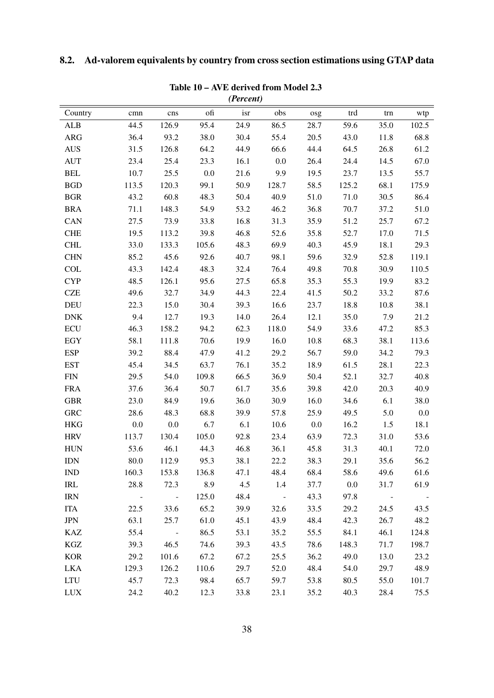# <span id="page-37-1"></span><span id="page-37-0"></span>8.2. Ad-valorem equivalents by country from cross section estimations using GTAP data

|                                    |                |                |       | (Percent) |                |      |         |               |       |
|------------------------------------|----------------|----------------|-------|-----------|----------------|------|---------|---------------|-------|
| Country                            | cmn            | cns            | ofi   | isr       | obs            | osg  | trd     | trn           | wtp   |
| <b>ALB</b>                         | 44.5           | 126.9          | 95.4  | 24.9      | 86.5           | 28.7 | 59.6    | 35.0          | 102.5 |
| <b>ARG</b>                         | 36.4           | 93.2           | 38.0  | 30.4      | 55.4           | 20.5 | 43.0    | 11.8          | 68.8  |
| <b>AUS</b>                         | 31.5           | 126.8          | 64.2  | 44.9      | 66.6           | 44.4 | 64.5    | 26.8          | 61.2  |
| <b>AUT</b>                         | 23.4           | 25.4           | 23.3  | 16.1      | 0.0            | 26.4 | 24.4    | 14.5          | 67.0  |
| <b>BEL</b>                         | 10.7           | 25.5           | 0.0   | 21.6      | 9.9            | 19.5 | 23.7    | 13.5          | 55.7  |
| <b>BGD</b>                         | 113.5          | 120.3          | 99.1  | 50.9      | 128.7          | 58.5 | 125.2   | 68.1          | 175.9 |
| <b>BGR</b>                         | 43.2           | 60.8           | 48.3  | 50.4      | 40.9           | 51.0 | 71.0    | 30.5          | 86.4  |
| <b>BRA</b>                         | 71.1           | 148.3          | 54.9  | 53.2      | 46.2           | 36.8 | 70.7    | 37.2          | 51.0  |
| CAN                                | 27.5           | 73.9           | 33.8  | 16.8      | 31.3           | 35.9 | 51.2    | 25.7          | 67.2  |
| <b>CHE</b>                         | 19.5           | 113.2          | 39.8  | 46.8      | 52.6           | 35.8 | 52.7    | 17.0          | 71.5  |
| <b>CHL</b>                         | 33.0           | 133.3          | 105.6 | 48.3      | 69.9           | 40.3 | 45.9    | 18.1          | 29.3  |
| <b>CHN</b>                         | 85.2           | 45.6           | 92.6  | 40.7      | 98.1           | 59.6 | 32.9    | 52.8          | 119.1 |
| <b>COL</b>                         | 43.3           | 142.4          | 48.3  | 32.4      | 76.4           | 49.8 | 70.8    | 30.9          | 110.5 |
| <b>CYP</b>                         | 48.5           | 126.1          | 95.6  | 27.5      | 65.8           | 35.3 | 55.3    | 19.9          | 83.2  |
| <b>CZE</b>                         | 49.6           | 32.7           | 34.9  | 44.3      | 22.4           | 41.5 | 50.2    | 33.2          | 87.6  |
| DEU                                | 22.3           | 15.0           | 30.4  | 39.3      | 16.6           | 23.7 | 18.8    | 10.8          | 38.1  |
| $\mathbf{D}\mathbf{N}\mathbf{K}$   | 9.4            | 12.7           | 19.3  | 14.0      | 26.4           | 12.1 | 35.0    | 7.9           | 21.2  |
| <b>ECU</b>                         | 46.3           | 158.2          | 94.2  | 62.3      | 118.0          | 54.9 | 33.6    | 47.2          | 85.3  |
| <b>EGY</b>                         | 58.1           | 111.8          | 70.6  | 19.9      | 16.0           | 10.8 | 68.3    | 38.1          | 113.6 |
| <b>ESP</b>                         | 39.2           | 88.4           | 47.9  | 41.2      | 29.2           | 56.7 | 59.0    | 34.2          | 79.3  |
| <b>EST</b>                         | 45.4           | 34.5           | 63.7  | 76.1      | 35.2           | 18.9 | 61.5    | 28.1          | 22.3  |
| <b>FIN</b>                         | 29.5           | 54.0           | 109.8 | 66.5      | 36.9           | 50.4 | 52.1    | 32.7          | 40.8  |
| <b>FRA</b>                         | 37.6           | 36.4           | 50.7  | 61.7      | 35.6           | 39.8 | 42.0    | 20.3          | 40.9  |
| <b>GBR</b>                         | 23.0           | 84.9           | 19.6  | 36.0      | 30.9           | 16.0 | 34.6    | 6.1           | 38.0  |
| <b>GRC</b>                         | 28.6           | 48.3           | 68.8  | 39.9      | 57.8           | 25.9 | 49.5    | 5.0           | 0.0   |
| <b>HKG</b>                         | 0.0            | 0.0            | 6.7   | 6.1       | 10.6           | 0.0  | 16.2    | 1.5           | 18.1  |
| <b>HRV</b>                         | 113.7          | 130.4          | 105.0 | 92.8      | 23.4           | 63.9 | 72.3    | 31.0          | 53.6  |
| <b>HUN</b>                         | 53.6           | 46.1           | 44.3  | 46.8      | 36.1           | 45.8 | 31.3    | 40.1          | 72.0  |
| <b>IDN</b>                         | 80.0           | 112.9          | 95.3  | 38.1      | 22.2           | 38.3 | 29.1    | 35.6          | 56.2  |
| <b>IND</b>                         | 160.3          | 153.8          | 136.8 | 47.1      | 48.4           | 68.4 | 58.6    | 49.6          | 61.6  |
| $\ensuremath{\mathsf{IRL}}\xspace$ | 28.8           | 72.3           | 8.9   | 4.5       | 1.4            | 37.7 | $0.0\,$ | 31.7          | 61.9  |
| <b>IRN</b>                         | $\blacksquare$ | $\Box$         | 125.0 | 48.4      | $\blacksquare$ | 43.3 | 97.8    | $\sim$ $\sim$ |       |
| <b>ITA</b>                         | 22.5           | 33.6           | 65.2  | 39.9      | 32.6           | 33.5 | 29.2    | 24.5          | 43.5  |
| <b>JPN</b>                         | 63.1           | 25.7           | 61.0  | 45.1      | 43.9           | 48.4 | 42.3    | 26.7          | 48.2  |
| KAZ                                | 55.4           | $\blacksquare$ | 86.5  | 53.1      | 35.2           | 55.5 | 84.1    | 46.1          | 124.8 |
| KGZ                                | 39.3           | 46.5           | 74.6  | 39.3      | 43.5           | 78.6 | 148.3   | 71.7          | 198.7 |
| <b>KOR</b>                         | 29.2           | 101.6          | 67.2  | 67.2      | 25.5           | 36.2 | 49.0    | 13.0          | 23.2  |
| <b>LKA</b>                         | 129.3          | 126.2          | 110.6 | 29.7      | 52.0           | 48.4 | 54.0    | 29.7          | 48.9  |
| <b>LTU</b>                         | 45.7           | 72.3           | 98.4  | 65.7      | 59.7           | 53.8 | 80.5    | 55.0          | 101.7 |
| <b>LUX</b>                         | 24.2           | 40.2           | 12.3  | 33.8      | 23.1           | 35.2 | 40.3    | 28.4          | 75.5  |

# Table 10 – AVE derived from Model 2.3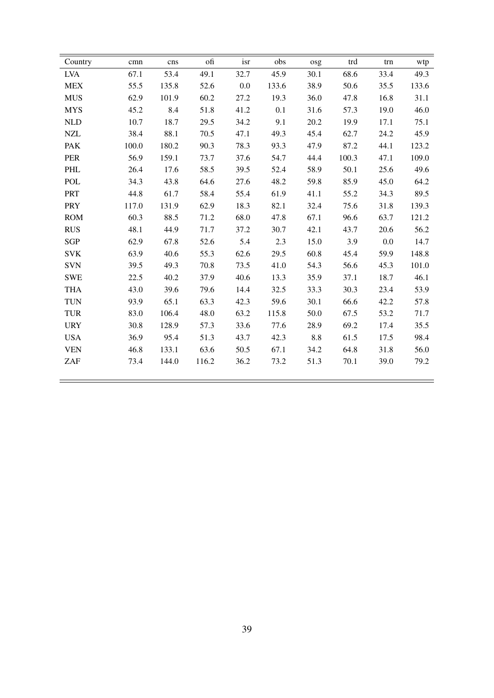| Country    | cmn   | cns   | ofi   | isr     | obs   | osg  | trd   | trn  | wtp   |
|------------|-------|-------|-------|---------|-------|------|-------|------|-------|
| <b>LVA</b> | 67.1  | 53.4  | 49.1  | 32.7    | 45.9  | 30.1 | 68.6  | 33.4 | 49.3  |
| <b>MEX</b> | 55.5  | 135.8 | 52.6  | $0.0\,$ | 133.6 | 38.9 | 50.6  | 35.5 | 133.6 |
| <b>MUS</b> | 62.9  | 101.9 | 60.2  | 27.2    | 19.3  | 36.0 | 47.8  | 16.8 | 31.1  |
| <b>MYS</b> | 45.2  | 8.4   | 51.8  | 41.2    | 0.1   | 31.6 | 57.3  | 19.0 | 46.0  |
| NLD        | 10.7  | 18.7  | 29.5  | 34.2    | 9.1   | 20.2 | 19.9  | 17.1 | 75.1  |
| $\sf NZL$  | 38.4  | 88.1  | 70.5  | 47.1    | 49.3  | 45.4 | 62.7  | 24.2 | 45.9  |
| <b>PAK</b> | 100.0 | 180.2 | 90.3  | 78.3    | 93.3  | 47.9 | 87.2  | 44.1 | 123.2 |
| PER        | 56.9  | 159.1 | 73.7  | 37.6    | 54.7  | 44.4 | 100.3 | 47.1 | 109.0 |
| PHL        | 26.4  | 17.6  | 58.5  | 39.5    | 52.4  | 58.9 | 50.1  | 25.6 | 49.6  |
| <b>POL</b> | 34.3  | 43.8  | 64.6  | 27.6    | 48.2  | 59.8 | 85.9  | 45.0 | 64.2  |
| <b>PRT</b> | 44.8  | 61.7  | 58.4  | 55.4    | 61.9  | 41.1 | 55.2  | 34.3 | 89.5  |
| <b>PRY</b> | 117.0 | 131.9 | 62.9  | 18.3    | 82.1  | 32.4 | 75.6  | 31.8 | 139.3 |
| <b>ROM</b> | 60.3  | 88.5  | 71.2  | 68.0    | 47.8  | 67.1 | 96.6  | 63.7 | 121.2 |
| <b>RUS</b> | 48.1  | 44.9  | 71.7  | 37.2    | 30.7  | 42.1 | 43.7  | 20.6 | 56.2  |
| SGP        | 62.9  | 67.8  | 52.6  | 5.4     | 2.3   | 15.0 | 3.9   | 0.0  | 14.7  |
| <b>SVK</b> | 63.9  | 40.6  | 55.3  | 62.6    | 29.5  | 60.8 | 45.4  | 59.9 | 148.8 |
| <b>SVN</b> | 39.5  | 49.3  | 70.8  | 73.5    | 41.0  | 54.3 | 56.6  | 45.3 | 101.0 |
| <b>SWE</b> | 22.5  | 40.2  | 37.9  | 40.6    | 13.3  | 35.9 | 37.1  | 18.7 | 46.1  |
| <b>THA</b> | 43.0  | 39.6  | 79.6  | 14.4    | 32.5  | 33.3 | 30.3  | 23.4 | 53.9  |
| <b>TUN</b> | 93.9  | 65.1  | 63.3  | 42.3    | 59.6  | 30.1 | 66.6  | 42.2 | 57.8  |
| <b>TUR</b> | 83.0  | 106.4 | 48.0  | 63.2    | 115.8 | 50.0 | 67.5  | 53.2 | 71.7  |
| <b>URY</b> | 30.8  | 128.9 | 57.3  | 33.6    | 77.6  | 28.9 | 69.2  | 17.4 | 35.5  |
| <b>USA</b> | 36.9  | 95.4  | 51.3  | 43.7    | 42.3  | 8.8  | 61.5  | 17.5 | 98.4  |
| <b>VEN</b> | 46.8  | 133.1 | 63.6  | 50.5    | 67.1  | 34.2 | 64.8  | 31.8 | 56.0  |
| ZAF        | 73.4  | 144.0 | 116.2 | 36.2    | 73.2  | 51.3 | 70.1  | 39.0 | 79.2  |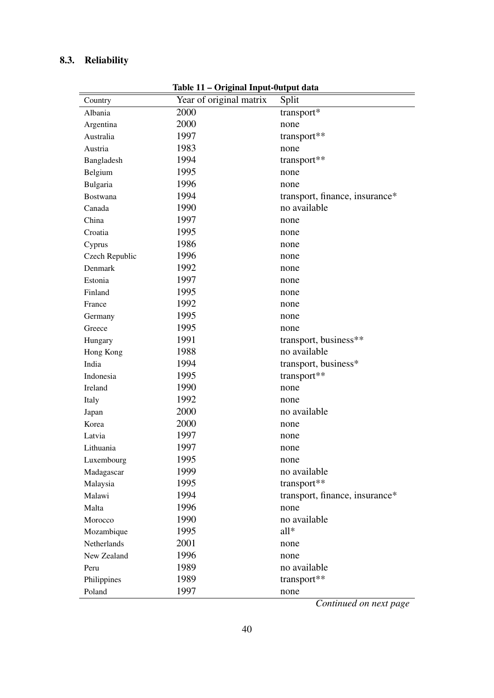# <span id="page-39-1"></span><span id="page-39-0"></span>8.3. Reliability

| Country         | Year of original matrix | Split                          |
|-----------------|-------------------------|--------------------------------|
| Albania         | 2000                    | transport*                     |
| Argentina       | 2000                    | none                           |
| Australia       | 1997                    | transport**                    |
| Austria         | 1983                    | none                           |
| Bangladesh      | 1994                    | transport**                    |
| Belgium         | 1995                    | none                           |
| Bulgaria        | 1996                    | none                           |
| <b>Bostwana</b> | 1994                    | transport, finance, insurance* |
| Canada          | 1990                    | no available                   |
| China           | 1997                    | none                           |
| Croatia         | 1995                    | none                           |
| Cyprus          | 1986                    | none                           |
| Czech Republic  | 1996                    | none                           |
| Denmark         | 1992                    | none                           |
| Estonia         | 1997                    | none                           |
| Finland         | 1995                    | none                           |
| France          | 1992                    | none                           |
| Germany         | 1995                    | none                           |
| Greece          | 1995                    | none                           |
| Hungary         | 1991                    | transport, business**          |
| Hong Kong       | 1988                    | no available                   |
| India           | 1994                    | transport, business*           |
| Indonesia       | 1995                    | transport**                    |
| Ireland         | 1990                    | none                           |
| Italy           | 1992                    | none                           |
| Japan           | 2000                    | no available                   |
| Korea           | 2000                    | none                           |
| Latvia          | 1997                    | none                           |
| Lithuania       | 1997                    | none                           |
| Luxembourg      | 1995                    | none                           |
| Madagascar      | 1999                    | no available                   |
| Malaysia        | 1995                    | transport**                    |
| Malawi          | 1994                    | transport, finance, insurance* |
| Malta           | 1996                    | none                           |
| Morocco         | 1990                    | no available                   |
| Mozambique      | 1995                    | $all*$                         |
| Netherlands     | 2001                    | none                           |
| New Zealand     | 1996                    | none                           |
| Peru            | 1989                    | no available                   |
| Philippines     | 1989                    | transport**                    |
| Poland          | 1997                    | none                           |

Table 11 – Original Input-0utput data

*Continued on next page*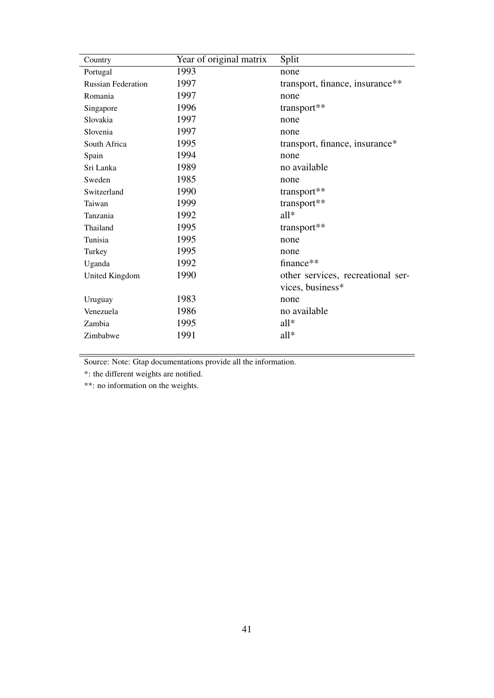| 1993<br>Portugal<br>none           |                                   |
|------------------------------------|-----------------------------------|
| 1997<br><b>Russian Federation</b>  | transport, finance, insurance**   |
| 1997<br>Romania<br>none            |                                   |
| 1996<br>transport**<br>Singapore   |                                   |
| 1997<br>Slovakia<br>none           |                                   |
| 1997<br>Slovenia<br>none           |                                   |
| 1995<br>South Africa               | transport, finance, insurance*    |
| 1994<br>Spain<br>none              |                                   |
| 1989<br>no available<br>Sri Lanka  |                                   |
| 1985<br>Sweden<br>none             |                                   |
| 1990<br>transport**<br>Switzerland |                                   |
| 1999<br>transport**<br>Taiwan      |                                   |
| 1992<br>$all*$<br>Tanzania         |                                   |
| 1995<br>transport**<br>Thailand    |                                   |
| 1995<br>Tunisia<br>none            |                                   |
| 1995<br>Turkey<br>none             |                                   |
| 1992<br>finance**<br>Uganda        |                                   |
| 1990<br>United Kingdom             | other services, recreational ser- |
| vices, business*                   |                                   |
| 1983<br>Uruguay<br>none            |                                   |
| 1986<br>no available<br>Venezuela  |                                   |
| $all*$<br>1995<br>Zambia           |                                   |
| all*<br>1991<br>Zimbabwe           |                                   |

Source: Note: Gtap documentations provide all the information.

\*: the different weights are notified.

\*\*: no information on the weights.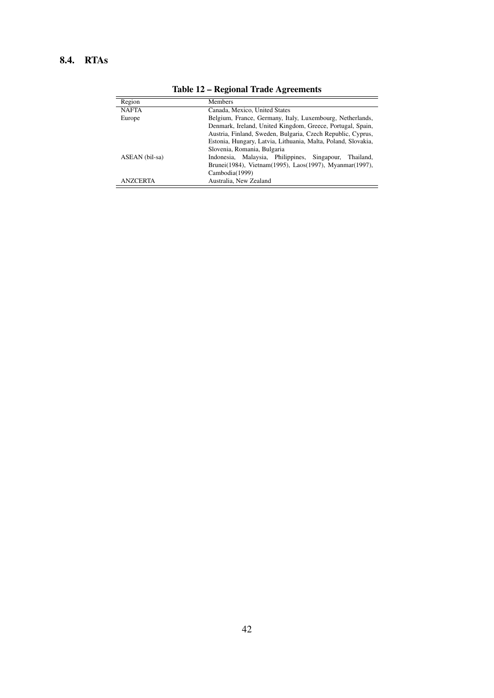## <span id="page-41-0"></span>8.4. RTAs

| Region          | <b>Members</b>                                                |  |  |  |
|-----------------|---------------------------------------------------------------|--|--|--|
| <b>NAFTA</b>    | Canada, Mexico, United States                                 |  |  |  |
| Europe          | Belgium, France, Germany, Italy, Luxembourg, Netherlands,     |  |  |  |
|                 | Denmark, Ireland, United Kingdom, Greece, Portugal, Spain,    |  |  |  |
|                 | Austria, Finland, Sweden, Bulgaria, Czech Republic, Cyprus,   |  |  |  |
|                 | Estonia, Hungary, Latvia, Lithuania, Malta, Poland, Slovakia, |  |  |  |
|                 | Slovenia, Romania, Bulgaria                                   |  |  |  |
| ASEAN (bil-sa)  | Indonesia, Malaysia, Philippines, Singapour,<br>Thailand.     |  |  |  |
|                 | Brunei(1984), Vietnam(1995), Laos(1997), Myanmar(1997),       |  |  |  |
|                 | Cambodia(1999)                                                |  |  |  |
| <b>ANZCERTA</b> | Australia, New Zealand                                        |  |  |  |

Table 12 – Regional Trade Agreements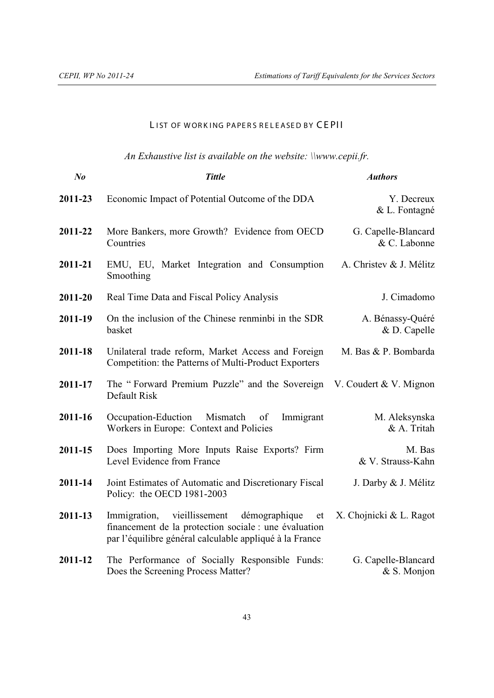#### LIST OF WORKING PAPERS RELEASED BY CEPII

# *An Exhaustive list is available on the website: \\www.cepii.fr.*

| $N_{0}$ | <b>Tittle</b>                                                                                                                                                          | <b>Authors</b>                      |
|---------|------------------------------------------------------------------------------------------------------------------------------------------------------------------------|-------------------------------------|
| 2011-23 | Economic Impact of Potential Outcome of the DDA                                                                                                                        | Y. Decreux<br>& L. Fontagné         |
| 2011-22 | More Bankers, more Growth? Evidence from OECD<br>Countries                                                                                                             | G. Capelle-Blancard<br>& C. Labonne |
| 2011-21 | EMU, EU, Market Integration and Consumption<br>Smoothing                                                                                                               | A. Christev & J. Mélitz             |
| 2011-20 | Real Time Data and Fiscal Policy Analysis                                                                                                                              | J. Cimadomo                         |
| 2011-19 | On the inclusion of the Chinese renminbi in the SDR<br>basket                                                                                                          | A. Bénassy-Quéré<br>& D. Capelle    |
| 2011-18 | Unilateral trade reform, Market Access and Foreign<br>Competition: the Patterns of Multi-Product Exporters                                                             | M. Bas & P. Bombarda                |
| 2011-17 | The "Forward Premium Puzzle" and the Sovereign<br>Default Risk                                                                                                         | V. Coudert & V. Mignon              |
| 2011-16 | Occupation-Eduction Mismatch of<br>Immigrant<br>Workers in Europe: Context and Policies                                                                                | M. Aleksynska<br>& A. Tritah        |
| 2011-15 | Does Importing More Inputs Raise Exports? Firm<br>Level Evidence from France                                                                                           | M. Bas<br>& V. Strauss-Kahn         |
| 2011-14 | Joint Estimates of Automatic and Discretionary Fiscal<br>Policy: the OECD 1981-2003                                                                                    | J. Darby & J. Mélitz                |
| 2011-13 | Immigration, vieillissement<br>démographique<br>et<br>financement de la protection sociale : une évaluation<br>par l'équilibre général calculable appliqué à la France | X. Chojnicki & L. Ragot             |
| 2011-12 | The Performance of Socially Responsible Funds:<br>Does the Screening Process Matter?                                                                                   | G. Capelle-Blancard<br>& S. Monjon  |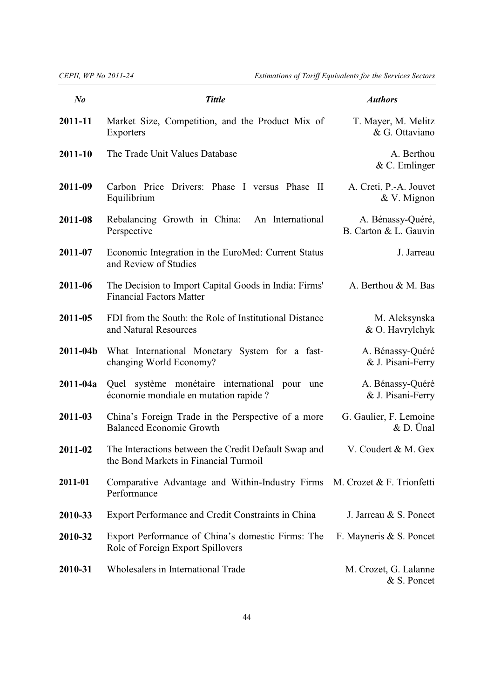| $N_{0}$      | <b>Tittle</b>                                                                                 | <b>Authors</b>                             |
|--------------|-----------------------------------------------------------------------------------------------|--------------------------------------------|
| 2011-11      | Market Size, Competition, and the Product Mix of<br>Exporters                                 | T. Mayer, M. Melitz<br>& G. Ottaviano      |
| 2011-10      | The Trade Unit Values Database                                                                | A. Berthou<br>$&$ C. Emlinger              |
| 2011-09      | Carbon Price Drivers: Phase I versus Phase II<br>Equilibrium                                  | A. Creti, P.-A. Jouvet<br>& V. Mignon      |
| 2011-08      | Rebalancing Growth in China:<br>An International<br>Perspective                               | A. Bénassy-Quéré,<br>B. Carton & L. Gauvin |
| 2011-07      | Economic Integration in the EuroMed: Current Status<br>and Review of Studies                  | J. Jarreau                                 |
| 2011-06      | The Decision to Import Capital Goods in India: Firms'<br><b>Financial Factors Matter</b>      | A. Berthou & M. Bas                        |
| 2011-05      | FDI from the South: the Role of Institutional Distance<br>and Natural Resources               | M. Aleksynska<br>& O. Havrylchyk           |
| $2011 - 04b$ | What International Monetary System for a fast-<br>changing World Economy?                     | A. Bénassy-Quéré<br>& J. Pisani-Ferry      |
| $2011 - 04a$ | Quel système monétaire international<br>pour<br>une<br>économie mondiale en mutation rapide ? | A. Bénassy-Quéré<br>& J. Pisani-Ferry      |
| 2011-03      | China's Foreign Trade in the Perspective of a more<br><b>Balanced Economic Growth</b>         | G. Gaulier, F. Lemoine<br>$&$ D. Unal      |
| 2011-02      | The Interactions between the Credit Default Swap and<br>the Bond Markets in Financial Turmoil | V. Coudert & M. Gex                        |
| 2011-01      | Comparative Advantage and Within-Industry Firms $M$ . Crozet & F. Trionfetti<br>Performance   |                                            |
| 2010-33      | Export Performance and Credit Constraints in China                                            | J. Jarreau & S. Poncet                     |
| 2010-32      | Export Performance of China's domestic Firms: The<br>Role of Foreign Export Spillovers        | F. Mayneris & S. Poncet                    |
| 2010-31      | Wholesalers in International Trade                                                            | M. Crozet, G. Lalanne<br>& S. Poncet       |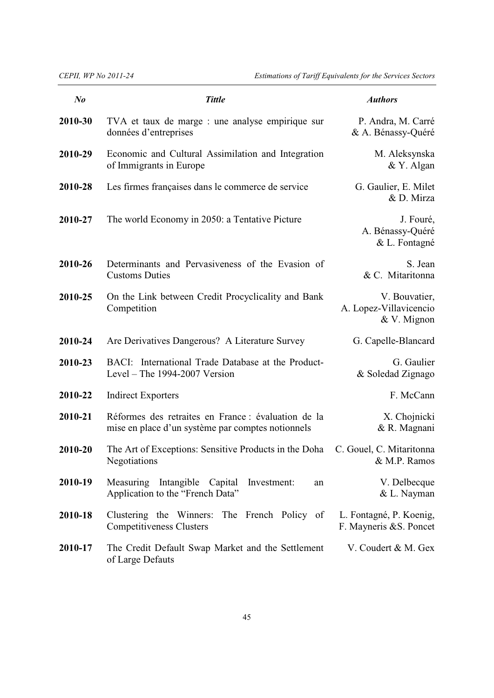| $N_{0}$ | <b>Tittle</b>                                                                                            | <b>Authors</b>                                         |
|---------|----------------------------------------------------------------------------------------------------------|--------------------------------------------------------|
| 2010-30 | TVA et taux de marge : une analyse empirique sur<br>données d'entreprises                                | P. Andra, M. Carré<br>& A. Bénassy-Quéré               |
| 2010-29 | Economic and Cultural Assimilation and Integration<br>of Immigrants in Europe                            | M. Aleksynska<br>& Y. Algan                            |
| 2010-28 | Les firmes françaises dans le commerce de service                                                        | G. Gaulier, E. Milet<br>& D. Mirza                     |
| 2010-27 | The world Economy in 2050: a Tentative Picture                                                           | J. Fouré,<br>A. Bénassy-Quéré<br>& L. Fontagné         |
| 2010-26 | Determinants and Pervasiveness of the Evasion of<br><b>Customs Duties</b>                                | S. Jean<br>& C. Mitaritonna                            |
| 2010-25 | On the Link between Credit Procyclicality and Bank<br>Competition                                        | V. Bouvatier,<br>A. Lopez-Villavicencio<br>& V. Mignon |
| 2010-24 | Are Derivatives Dangerous? A Literature Survey                                                           | G. Capelle-Blancard                                    |
| 2010-23 | BACI: International Trade Database at the Product-<br>Level – The $1994-2007$ Version                    | G. Gaulier<br>& Soledad Zignago                        |
| 2010-22 | <b>Indirect Exporters</b>                                                                                | F. McCann                                              |
| 2010-21 | Réformes des retraites en France : évaluation de la<br>mise en place d'un système par comptes notionnels | X. Chojnicki<br>& R. Magnani                           |
| 2010-20 | The Art of Exceptions: Sensitive Products in the Doha<br>Negotiations                                    | C. Gouel, C. Mitaritonna<br>& M.P. Ramos               |
| 2010-19 | Measuring Intangible<br>Capital<br>Investment:<br>an<br>Application to the "French Data"                 | V. Delbecque<br>& L. Nayman                            |
| 2010-18 | Clustering the Winners: The French Policy of<br><b>Competitiveness Clusters</b>                          | L. Fontagné, P. Koenig,<br>F. Mayneris & S. Poncet     |
| 2010-17 | The Credit Default Swap Market and the Settlement<br>of Large Defauts                                    | V. Coudert & M. Gex                                    |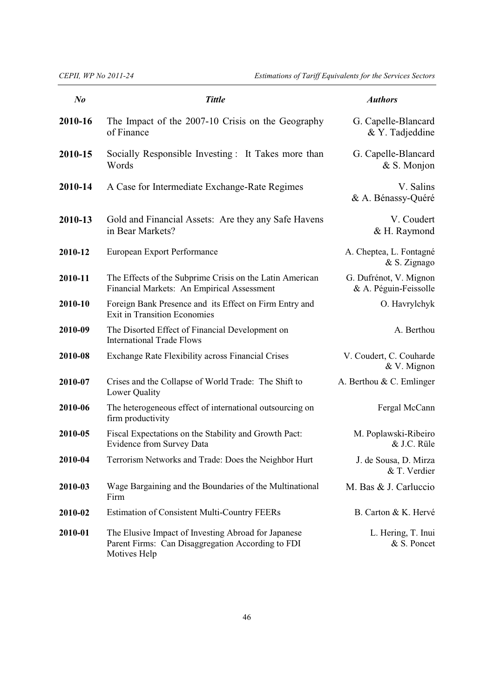*CEPII, WP No 2011-24 Estimations of Tariff Equivalents for the Services Sectors*

| $N_{0}$ | <b>Tittle</b>                                                                                                            | <b>Authors</b>                                  |
|---------|--------------------------------------------------------------------------------------------------------------------------|-------------------------------------------------|
| 2010-16 | The Impact of the 2007-10 Crisis on the Geography<br>of Finance                                                          | G. Capelle-Blancard<br>& Y. Tadjeddine          |
| 2010-15 | Socially Responsible Investing : It Takes more than<br>Words                                                             | G. Capelle-Blancard<br>& S. Monjon              |
| 2010-14 | A Case for Intermediate Exchange-Rate Regimes                                                                            | V. Salins<br>& A. Bénassy-Quéré                 |
| 2010-13 | Gold and Financial Assets: Are they any Safe Havens<br>in Bear Markets?                                                  | V. Coudert<br>& H. Raymond                      |
| 2010-12 | European Export Performance                                                                                              | A. Cheptea, L. Fontagné<br>& S. Zignago         |
| 2010-11 | The Effects of the Subprime Crisis on the Latin American<br>Financial Markets: An Empirical Assessment                   | G. Dufrénot, V. Mignon<br>& A. Péguin-Feissolle |
| 2010-10 | Foreign Bank Presence and its Effect on Firm Entry and<br><b>Exit in Transition Economies</b>                            | O. Havrylchyk                                   |
| 2010-09 | The Disorted Effect of Financial Development on<br><b>International Trade Flows</b>                                      | A. Berthou                                      |
| 2010-08 | Exchange Rate Flexibility across Financial Crises                                                                        | V. Coudert, C. Couharde<br>& V. Mignon          |
| 2010-07 | Crises and the Collapse of World Trade: The Shift to<br>Lower Quality                                                    | A. Berthou & C. Emlinger                        |
| 2010-06 | The heterogeneous effect of international outsourcing on<br>firm productivity                                            | Fergal McCann                                   |
| 2010-05 | Fiscal Expectations on the Stability and Growth Pact:<br><b>Evidence from Survey Data</b>                                | M. Poplawski-Ribeiro<br>& J.C. Rüle             |
| 2010-04 | Terrorism Networks and Trade: Does the Neighbor Hurt                                                                     | J. de Sousa, D. Mirza<br>& T. Verdier           |
| 2010-03 | Wage Bargaining and the Boundaries of the Multinational<br>Firm                                                          | M. Bas & J. Carluccio                           |
| 2010-02 | <b>Estimation of Consistent Multi-Country FEERs</b>                                                                      | B. Carton & K. Hervé                            |
| 2010-01 | The Elusive Impact of Investing Abroad for Japanese<br>Parent Firms: Can Disaggregation According to FDI<br>Motives Help | L. Hering, T. Inui<br>& S. Poncet               |